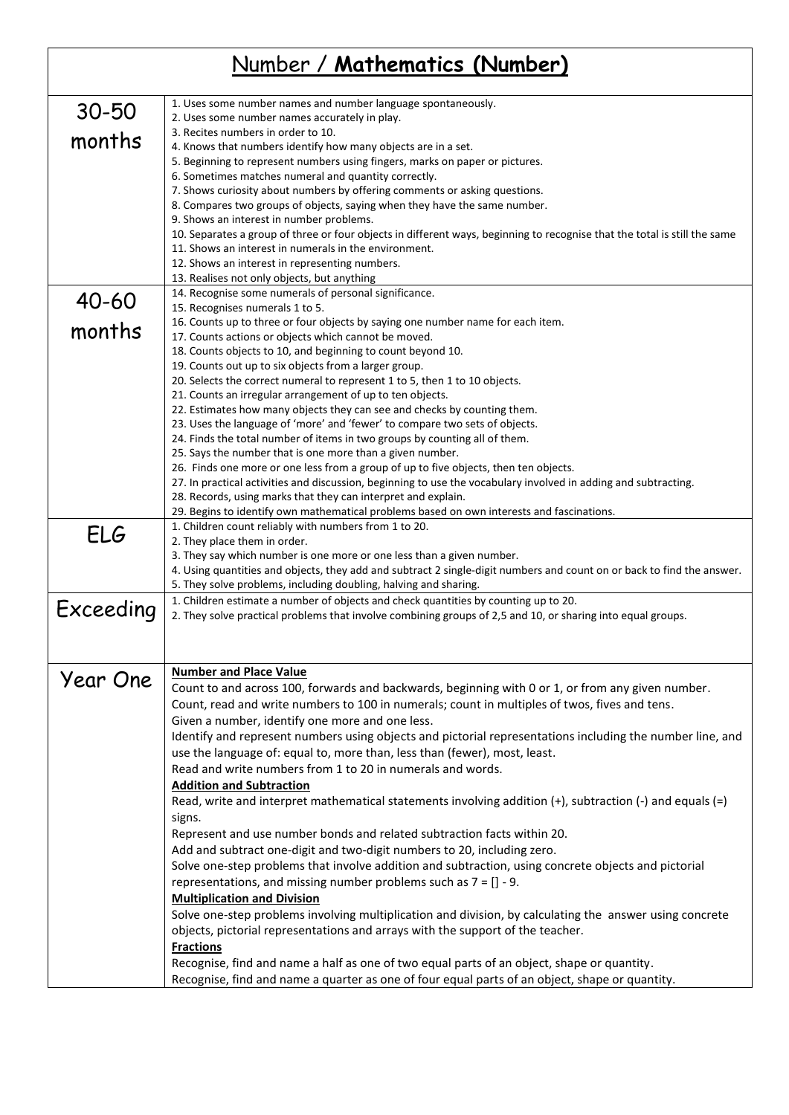## Number / **Mathematics (Number)**

| $30 - 50$       | 1. Uses some number names and number language spontaneously.                                                                                                                     |  |
|-----------------|----------------------------------------------------------------------------------------------------------------------------------------------------------------------------------|--|
|                 | 2. Uses some number names accurately in play.<br>3. Recites numbers in order to 10.                                                                                              |  |
| months          | 4. Knows that numbers identify how many objects are in a set.                                                                                                                    |  |
|                 | 5. Beginning to represent numbers using fingers, marks on paper or pictures.                                                                                                     |  |
|                 | 6. Sometimes matches numeral and quantity correctly.                                                                                                                             |  |
|                 | 7. Shows curiosity about numbers by offering comments or asking questions.                                                                                                       |  |
|                 | 8. Compares two groups of objects, saying when they have the same number.                                                                                                        |  |
|                 | 9. Shows an interest in number problems.                                                                                                                                         |  |
|                 | 10. Separates a group of three or four objects in different ways, beginning to recognise that the total is still the same                                                        |  |
|                 | 11. Shows an interest in numerals in the environment.<br>12. Shows an interest in representing numbers.                                                                          |  |
|                 | 13. Realises not only objects, but anything                                                                                                                                      |  |
|                 | 14. Recognise some numerals of personal significance.                                                                                                                            |  |
| 40-60<br>months | 15. Recognises numerals 1 to 5.                                                                                                                                                  |  |
|                 | 16. Counts up to three or four objects by saying one number name for each item.                                                                                                  |  |
|                 | 17. Counts actions or objects which cannot be moved.                                                                                                                             |  |
|                 | 18. Counts objects to 10, and beginning to count beyond 10.<br>19. Counts out up to six objects from a larger group.                                                             |  |
|                 | 20. Selects the correct numeral to represent 1 to 5, then 1 to 10 objects.                                                                                                       |  |
|                 | 21. Counts an irregular arrangement of up to ten objects.                                                                                                                        |  |
|                 | 22. Estimates how many objects they can see and checks by counting them.                                                                                                         |  |
|                 | 23. Uses the language of 'more' and 'fewer' to compare two sets of objects.                                                                                                      |  |
|                 | 24. Finds the total number of items in two groups by counting all of them.                                                                                                       |  |
|                 | 25. Says the number that is one more than a given number.                                                                                                                        |  |
|                 | 26. Finds one more or one less from a group of up to five objects, then ten objects.                                                                                             |  |
|                 | 27. In practical activities and discussion, beginning to use the vocabulary involved in adding and subtracting.<br>28. Records, using marks that they can interpret and explain. |  |
|                 | 29. Begins to identify own mathematical problems based on own interests and fascinations.                                                                                        |  |
|                 | 1. Children count reliably with numbers from 1 to 20.                                                                                                                            |  |
| ELG             | 2. They place them in order.                                                                                                                                                     |  |
|                 | 3. They say which number is one more or one less than a given number.                                                                                                            |  |
|                 | 4. Using quantities and objects, they add and subtract 2 single-digit numbers and count on or back to find the answer.                                                           |  |
|                 | 5. They solve problems, including doubling, halving and sharing.<br>1. Children estimate a number of objects and check quantities by counting up to 20.                          |  |
| Exceeding       | 2. They solve practical problems that involve combining groups of 2,5 and 10, or sharing into equal groups.                                                                      |  |
|                 |                                                                                                                                                                                  |  |
|                 |                                                                                                                                                                                  |  |
|                 | <b>Number and Place Value</b>                                                                                                                                                    |  |
| Year One        | Count to and across 100, forwards and backwards, beginning with 0 or 1, or from any given number.                                                                                |  |
|                 | Count, read and write numbers to 100 in numerals; count in multiples of twos, fives and tens.                                                                                    |  |
|                 | Given a number, identify one more and one less.                                                                                                                                  |  |
|                 | Identify and represent numbers using objects and pictorial representations including the number line, and                                                                        |  |
|                 | use the language of: equal to, more than, less than (fewer), most, least.                                                                                                        |  |
|                 | Read and write numbers from 1 to 20 in numerals and words.                                                                                                                       |  |
|                 | <b>Addition and Subtraction</b>                                                                                                                                                  |  |
|                 | Read, write and interpret mathematical statements involving addition $(+)$ , subtraction $(-)$ and equals $(=)$                                                                  |  |
|                 | signs.                                                                                                                                                                           |  |
|                 | Represent and use number bonds and related subtraction facts within 20.                                                                                                          |  |
|                 | Add and subtract one-digit and two-digit numbers to 20, including zero.                                                                                                          |  |
|                 | Solve one-step problems that involve addition and subtraction, using concrete objects and pictorial                                                                              |  |
|                 | representations, and missing number problems such as $7 = [] - 9$ .                                                                                                              |  |
|                 | <b>Multiplication and Division</b>                                                                                                                                               |  |
|                 | Solve one-step problems involving multiplication and division, by calculating the answer using concrete                                                                          |  |
|                 | objects, pictorial representations and arrays with the support of the teacher.                                                                                                   |  |
|                 | <b>Fractions</b>                                                                                                                                                                 |  |
|                 | Recognise, find and name a half as one of two equal parts of an object, shape or quantity.                                                                                       |  |
|                 | Recognise, find and name a quarter as one of four equal parts of an object, shape or quantity.                                                                                   |  |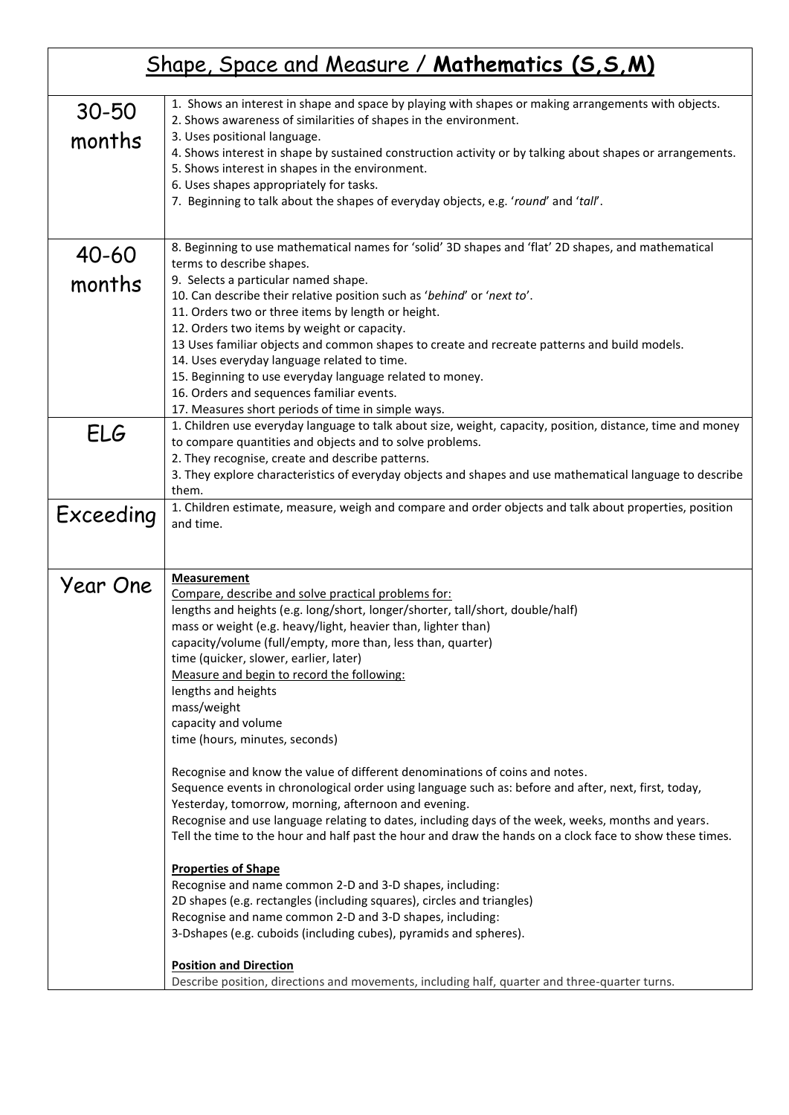|                     | Shape, Space and Measure / Mathematics (S, S, M)                                                                                                                                                                                                                                                                                                                                                                                                                                                                                                                                                                                                                                                                                                                                                                                                                                                                                                                                                                                                                                                                                                                                                                                                                                                                                                                                           |  |
|---------------------|--------------------------------------------------------------------------------------------------------------------------------------------------------------------------------------------------------------------------------------------------------------------------------------------------------------------------------------------------------------------------------------------------------------------------------------------------------------------------------------------------------------------------------------------------------------------------------------------------------------------------------------------------------------------------------------------------------------------------------------------------------------------------------------------------------------------------------------------------------------------------------------------------------------------------------------------------------------------------------------------------------------------------------------------------------------------------------------------------------------------------------------------------------------------------------------------------------------------------------------------------------------------------------------------------------------------------------------------------------------------------------------------|--|
| $30 - 50$<br>months | 1. Shows an interest in shape and space by playing with shapes or making arrangements with objects.<br>2. Shows awareness of similarities of shapes in the environment.<br>3. Uses positional language.<br>4. Shows interest in shape by sustained construction activity or by talking about shapes or arrangements.<br>5. Shows interest in shapes in the environment.<br>6. Uses shapes appropriately for tasks.<br>7. Beginning to talk about the shapes of everyday objects, e.g. 'round' and 'tall'.                                                                                                                                                                                                                                                                                                                                                                                                                                                                                                                                                                                                                                                                                                                                                                                                                                                                                  |  |
| $40 - 60$<br>months | 8. Beginning to use mathematical names for 'solid' 3D shapes and 'flat' 2D shapes, and mathematical<br>terms to describe shapes.<br>9. Selects a particular named shape.<br>10. Can describe their relative position such as 'behind' or 'next to'.<br>11. Orders two or three items by length or height.<br>12. Orders two items by weight or capacity.<br>13 Uses familiar objects and common shapes to create and recreate patterns and build models.<br>14. Uses everyday language related to time.<br>15. Beginning to use everyday language related to money.<br>16. Orders and sequences familiar events.<br>17. Measures short periods of time in simple ways.                                                                                                                                                                                                                                                                                                                                                                                                                                                                                                                                                                                                                                                                                                                     |  |
| ELG                 | 1. Children use everyday language to talk about size, weight, capacity, position, distance, time and money<br>to compare quantities and objects and to solve problems.<br>2. They recognise, create and describe patterns.<br>3. They explore characteristics of everyday objects and shapes and use mathematical language to describe<br>them.                                                                                                                                                                                                                                                                                                                                                                                                                                                                                                                                                                                                                                                                                                                                                                                                                                                                                                                                                                                                                                            |  |
| Exceeding           | 1. Children estimate, measure, weigh and compare and order objects and talk about properties, position<br>and time.                                                                                                                                                                                                                                                                                                                                                                                                                                                                                                                                                                                                                                                                                                                                                                                                                                                                                                                                                                                                                                                                                                                                                                                                                                                                        |  |
| Year One            | <b>Measurement</b><br>Compare, describe and solve practical problems for:<br>lengths and heights (e.g. long/short, longer/shorter, tall/short, double/half)<br>mass or weight (e.g. heavy/light, heavier than, lighter than)<br>capacity/volume (full/empty, more than, less than, quarter)<br>time (quicker, slower, earlier, later)<br>Measure and begin to record the following:<br>lengths and heights<br>mass/weight<br>capacity and volume<br>time (hours, minutes, seconds)<br>Recognise and know the value of different denominations of coins and notes.<br>Sequence events in chronological order using language such as: before and after, next, first, today,<br>Yesterday, tomorrow, morning, afternoon and evening.<br>Recognise and use language relating to dates, including days of the week, weeks, months and years.<br>Tell the time to the hour and half past the hour and draw the hands on a clock face to show these times.<br><b>Properties of Shape</b><br>Recognise and name common 2-D and 3-D shapes, including:<br>2D shapes (e.g. rectangles (including squares), circles and triangles)<br>Recognise and name common 2-D and 3-D shapes, including:<br>3-Dshapes (e.g. cuboids (including cubes), pyramids and spheres).<br><b>Position and Direction</b><br>Describe position, directions and movements, including half, quarter and three-quarter turns. |  |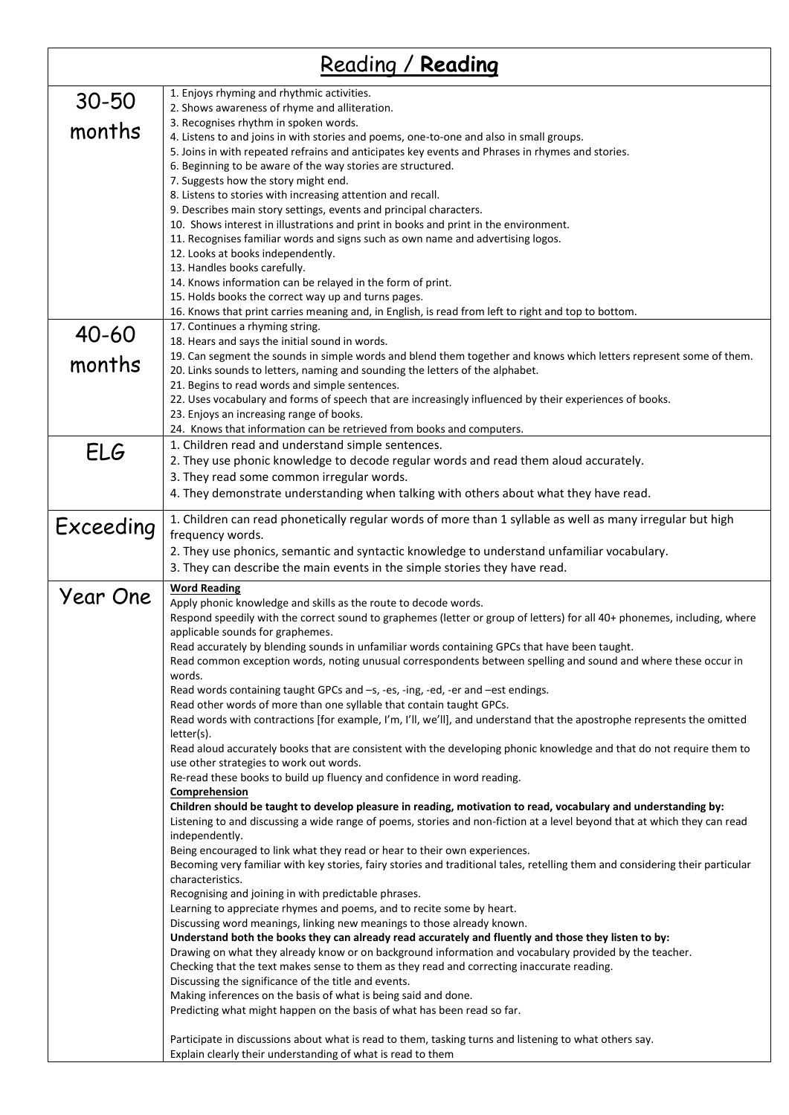| Reading / Reading |                                                                                                                                                                                                                 |  |
|-------------------|-----------------------------------------------------------------------------------------------------------------------------------------------------------------------------------------------------------------|--|
| $30 - 50$         | 1. Enjoys rhyming and rhythmic activities.<br>2. Shows awareness of rhyme and alliteration.                                                                                                                     |  |
| months            | 3. Recognises rhythm in spoken words.                                                                                                                                                                           |  |
|                   | 4. Listens to and joins in with stories and poems, one-to-one and also in small groups.<br>5. Joins in with repeated refrains and anticipates key events and Phrases in rhymes and stories.                     |  |
|                   | 6. Beginning to be aware of the way stories are structured.                                                                                                                                                     |  |
|                   | 7. Suggests how the story might end.                                                                                                                                                                            |  |
|                   | 8. Listens to stories with increasing attention and recall.<br>9. Describes main story settings, events and principal characters.                                                                               |  |
|                   | 10. Shows interest in illustrations and print in books and print in the environment.                                                                                                                            |  |
|                   | 11. Recognises familiar words and signs such as own name and advertising logos.<br>12. Looks at books independently.                                                                                            |  |
|                   | 13. Handles books carefully.                                                                                                                                                                                    |  |
|                   | 14. Knows information can be relayed in the form of print.                                                                                                                                                      |  |
|                   | 15. Holds books the correct way up and turns pages.<br>16. Knows that print carries meaning and, in English, is read from left to right and top to bottom.                                                      |  |
| 40-60             | 17. Continues a rhyming string.                                                                                                                                                                                 |  |
|                   | 18. Hears and says the initial sound in words.<br>19. Can segment the sounds in simple words and blend them together and knows which letters represent some of them.                                            |  |
| months            | 20. Links sounds to letters, naming and sounding the letters of the alphabet.<br>21. Begins to read words and simple sentences.                                                                                 |  |
|                   | 22. Uses vocabulary and forms of speech that are increasingly influenced by their experiences of books.                                                                                                         |  |
|                   | 23. Enjoys an increasing range of books.                                                                                                                                                                        |  |
|                   | 24. Knows that information can be retrieved from books and computers.<br>1. Children read and understand simple sentences.                                                                                      |  |
| ELG               | 2. They use phonic knowledge to decode regular words and read them aloud accurately.                                                                                                                            |  |
|                   | 3. They read some common irregular words.                                                                                                                                                                       |  |
|                   | 4. They demonstrate understanding when talking with others about what they have read.                                                                                                                           |  |
| Exceeding         | 1. Children can read phonetically regular words of more than 1 syllable as well as many irregular but high<br>frequency words.                                                                                  |  |
|                   | 2. They use phonics, semantic and syntactic knowledge to understand unfamiliar vocabulary.                                                                                                                      |  |
|                   | 3. They can describe the main events in the simple stories they have read.                                                                                                                                      |  |
| Year One          | <b>Word Reading</b>                                                                                                                                                                                             |  |
|                   | Apply phonic knowledge and skills as the route to decode words.<br>Respond speedily with the correct sound to graphemes (letter or group of letters) for all 40+ phonemes, including, where                     |  |
|                   | applicable sounds for graphemes.                                                                                                                                                                                |  |
|                   | Read accurately by blending sounds in unfamiliar words containing GPCs that have been taught.<br>Read common exception words, noting unusual correspondents between spelling and sound and where these occur in |  |
|                   | words.                                                                                                                                                                                                          |  |
|                   | Read words containing taught GPCs and -s, -es, -ing, -ed, -er and -est endings.                                                                                                                                 |  |
|                   | Read other words of more than one syllable that contain taught GPCs.<br>Read words with contractions [for example, I'm, I'll, we'll], and understand that the apostrophe represents the omitted                 |  |
|                   | $letter(s)$ .                                                                                                                                                                                                   |  |
|                   | Read aloud accurately books that are consistent with the developing phonic knowledge and that do not require them to<br>use other strategies to work out words.                                                 |  |
|                   | Re-read these books to build up fluency and confidence in word reading.<br>Comprehension                                                                                                                        |  |
|                   | Children should be taught to develop pleasure in reading, motivation to read, vocabulary and understanding by:                                                                                                  |  |
|                   | Listening to and discussing a wide range of poems, stories and non-fiction at a level beyond that at which they can read                                                                                        |  |
|                   | independently.<br>Being encouraged to link what they read or hear to their own experiences.                                                                                                                     |  |
|                   | Becoming very familiar with key stories, fairy stories and traditional tales, retelling them and considering their particular                                                                                   |  |
|                   | characteristics.<br>Recognising and joining in with predictable phrases.                                                                                                                                        |  |
|                   | Learning to appreciate rhymes and poems, and to recite some by heart.                                                                                                                                           |  |
|                   | Discussing word meanings, linking new meanings to those already known.                                                                                                                                          |  |
|                   | Understand both the books they can already read accurately and fluently and those they listen to by:<br>Drawing on what they already know or on background information and vocabulary provided by the teacher.  |  |
|                   | Checking that the text makes sense to them as they read and correcting inaccurate reading.                                                                                                                      |  |
|                   | Discussing the significance of the title and events.<br>Making inferences on the basis of what is being said and done.                                                                                          |  |
|                   | Predicting what might happen on the basis of what has been read so far.                                                                                                                                         |  |
|                   | Participate in discussions about what is read to them, tasking turns and listening to what others say.                                                                                                          |  |
|                   | Explain clearly their understanding of what is read to them                                                                                                                                                     |  |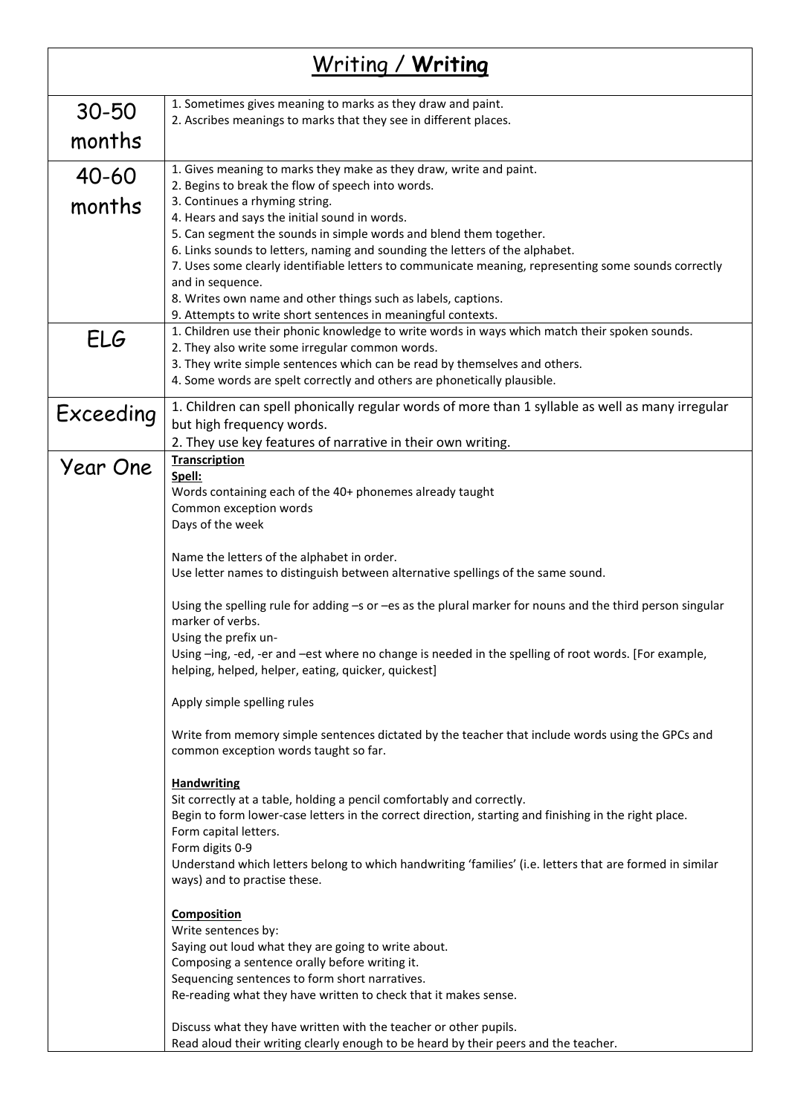| Writing / Writing |                                                                                                                                                                                                                                                                                                                                                                                                                                    |  |
|-------------------|------------------------------------------------------------------------------------------------------------------------------------------------------------------------------------------------------------------------------------------------------------------------------------------------------------------------------------------------------------------------------------------------------------------------------------|--|
| $30 - 50$         | 1. Sometimes gives meaning to marks as they draw and paint.<br>2. Ascribes meanings to marks that they see in different places.                                                                                                                                                                                                                                                                                                    |  |
| months            |                                                                                                                                                                                                                                                                                                                                                                                                                                    |  |
| 40-60             | 1. Gives meaning to marks they make as they draw, write and paint.<br>2. Begins to break the flow of speech into words.                                                                                                                                                                                                                                                                                                            |  |
| months            | 3. Continues a rhyming string.<br>4. Hears and says the initial sound in words.                                                                                                                                                                                                                                                                                                                                                    |  |
|                   | 5. Can segment the sounds in simple words and blend them together.<br>6. Links sounds to letters, naming and sounding the letters of the alphabet.                                                                                                                                                                                                                                                                                 |  |
|                   | 7. Uses some clearly identifiable letters to communicate meaning, representing some sounds correctly<br>and in sequence.                                                                                                                                                                                                                                                                                                           |  |
|                   | 8. Writes own name and other things such as labels, captions.<br>9. Attempts to write short sentences in meaningful contexts.                                                                                                                                                                                                                                                                                                      |  |
| ELG               | 1. Children use their phonic knowledge to write words in ways which match their spoken sounds.                                                                                                                                                                                                                                                                                                                                     |  |
|                   | 2. They also write some irregular common words.<br>3. They write simple sentences which can be read by themselves and others.                                                                                                                                                                                                                                                                                                      |  |
|                   | 4. Some words are spelt correctly and others are phonetically plausible.                                                                                                                                                                                                                                                                                                                                                           |  |
| Exceeding         | 1. Children can spell phonically regular words of more than 1 syllable as well as many irregular<br>but high frequency words.                                                                                                                                                                                                                                                                                                      |  |
|                   | 2. They use key features of narrative in their own writing.<br><b>Transcription</b>                                                                                                                                                                                                                                                                                                                                                |  |
| <b>Year One</b>   | Spell:                                                                                                                                                                                                                                                                                                                                                                                                                             |  |
|                   | Words containing each of the 40+ phonemes already taught<br>Common exception words                                                                                                                                                                                                                                                                                                                                                 |  |
|                   | Days of the week                                                                                                                                                                                                                                                                                                                                                                                                                   |  |
|                   | Name the letters of the alphabet in order.<br>Use letter names to distinguish between alternative spellings of the same sound.                                                                                                                                                                                                                                                                                                     |  |
|                   | Using the spelling rule for adding -s or -es as the plural marker for nouns and the third person singular<br>marker of verbs.                                                                                                                                                                                                                                                                                                      |  |
|                   | Using the prefix un-<br>Using -ing, -ed, -er and -est where no change is needed in the spelling of root words. [For example,<br>helping, helped, helper, eating, quicker, quickest]                                                                                                                                                                                                                                                |  |
|                   | Apply simple spelling rules                                                                                                                                                                                                                                                                                                                                                                                                        |  |
|                   | Write from memory simple sentences dictated by the teacher that include words using the GPCs and<br>common exception words taught so far.                                                                                                                                                                                                                                                                                          |  |
|                   | <b>Handwriting</b><br>Sit correctly at a table, holding a pencil comfortably and correctly.<br>Begin to form lower-case letters in the correct direction, starting and finishing in the right place.<br>Form capital letters.<br>Form digits 0-9<br>Understand which letters belong to which handwriting 'families' (i.e. letters that are formed in similar<br>ways) and to practise these.                                       |  |
|                   | <b>Composition</b><br>Write sentences by:<br>Saying out loud what they are going to write about.<br>Composing a sentence orally before writing it.<br>Sequencing sentences to form short narratives.<br>Re-reading what they have written to check that it makes sense.<br>Discuss what they have written with the teacher or other pupils.<br>Read aloud their writing clearly enough to be heard by their peers and the teacher. |  |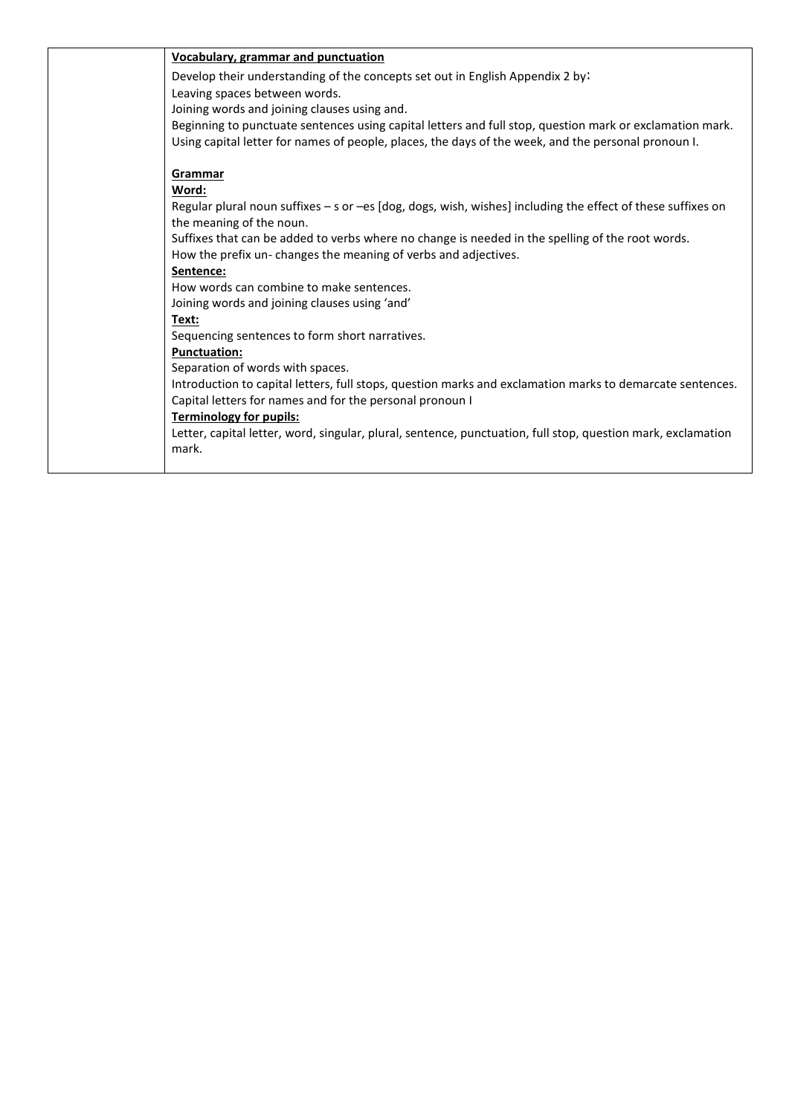| Vocabulary, grammar and punctuation                                                                          |  |
|--------------------------------------------------------------------------------------------------------------|--|
| Develop their understanding of the concepts set out in English Appendix 2 by:                                |  |
| Leaving spaces between words.                                                                                |  |
| Joining words and joining clauses using and.                                                                 |  |
| Beginning to punctuate sentences using capital letters and full stop, question mark or exclamation mark.     |  |
| Using capital letter for names of people, places, the days of the week, and the personal pronoun I.          |  |
|                                                                                                              |  |
| Grammar                                                                                                      |  |
| Word:                                                                                                        |  |
| Regular plural noun suffixes - s or -es [dog, dogs, wish, wishes] including the effect of these suffixes on  |  |
| the meaning of the noun.                                                                                     |  |
| Suffixes that can be added to verbs where no change is needed in the spelling of the root words.             |  |
| How the prefix un-changes the meaning of verbs and adjectives.                                               |  |
| Sentence:                                                                                                    |  |
| How words can combine to make sentences.                                                                     |  |
| Joining words and joining clauses using 'and'                                                                |  |
| Text:                                                                                                        |  |
| Sequencing sentences to form short narratives.                                                               |  |
| <b>Punctuation:</b>                                                                                          |  |
| Separation of words with spaces.                                                                             |  |
| Introduction to capital letters, full stops, question marks and exclamation marks to demarcate sentences.    |  |
| Capital letters for names and for the personal pronoun I                                                     |  |
| <b>Terminology for pupils:</b>                                                                               |  |
| Letter, capital letter, word, singular, plural, sentence, punctuation, full stop, question mark, exclamation |  |
| mark.                                                                                                        |  |
|                                                                                                              |  |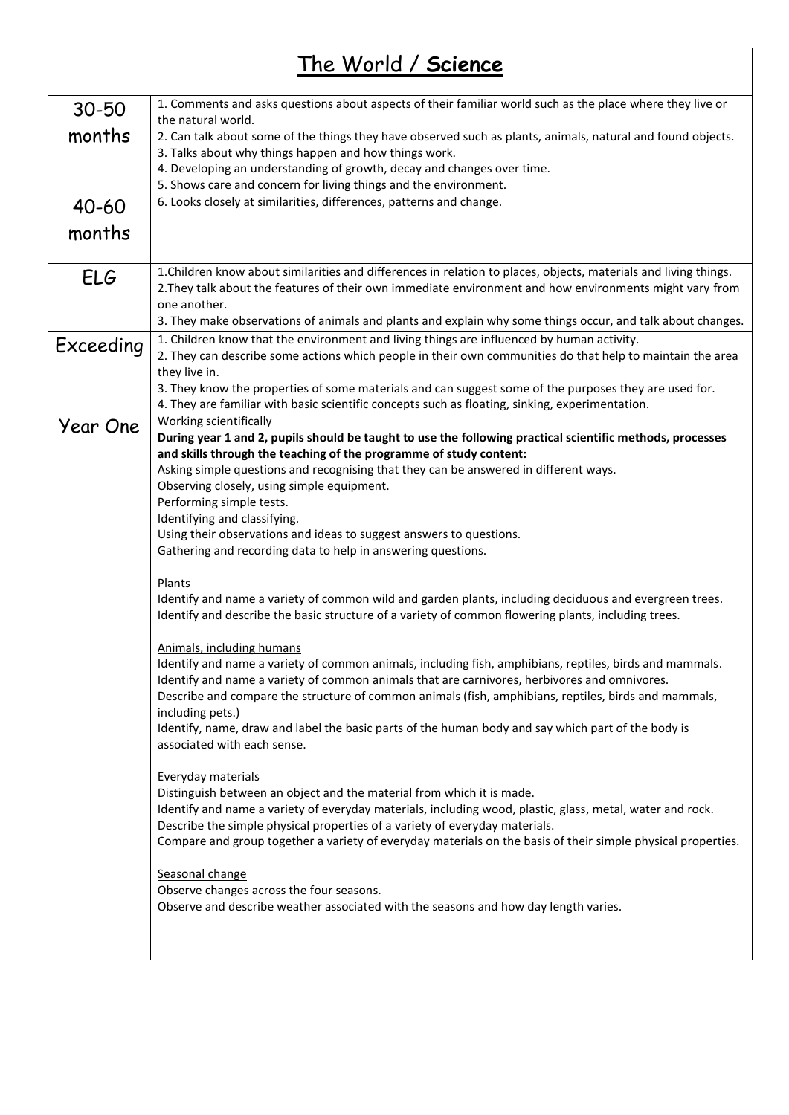| The World / <b>Science</b> |                                                                                                                                                                                                                                                                                                                                                                                                         |  |  |  |
|----------------------------|---------------------------------------------------------------------------------------------------------------------------------------------------------------------------------------------------------------------------------------------------------------------------------------------------------------------------------------------------------------------------------------------------------|--|--|--|
| $30 - 50$                  | 1. Comments and asks questions about aspects of their familiar world such as the place where they live or<br>the natural world.                                                                                                                                                                                                                                                                         |  |  |  |
| months                     | 2. Can talk about some of the things they have observed such as plants, animals, natural and found objects.<br>3. Talks about why things happen and how things work.                                                                                                                                                                                                                                    |  |  |  |
|                            | 4. Developing an understanding of growth, decay and changes over time.<br>5. Shows care and concern for living things and the environment.                                                                                                                                                                                                                                                              |  |  |  |
| 40-60                      | 6. Looks closely at similarities, differences, patterns and change.                                                                                                                                                                                                                                                                                                                                     |  |  |  |
| months                     |                                                                                                                                                                                                                                                                                                                                                                                                         |  |  |  |
| <b>ELG</b>                 | 1. Children know about similarities and differences in relation to places, objects, materials and living things.<br>2. They talk about the features of their own immediate environment and how environments might vary from<br>one another.<br>3. They make observations of animals and plants and explain why some things occur, and talk about changes.                                               |  |  |  |
| Exceeding                  | 1. Children know that the environment and living things are influenced by human activity.<br>2. They can describe some actions which people in their own communities do that help to maintain the area<br>they live in.                                                                                                                                                                                 |  |  |  |
|                            | 3. They know the properties of some materials and can suggest some of the purposes they are used for.<br>4. They are familiar with basic scientific concepts such as floating, sinking, experimentation.                                                                                                                                                                                                |  |  |  |
| Year One                   | <b>Working scientifically</b><br>During year 1 and 2, pupils should be taught to use the following practical scientific methods, processes<br>and skills through the teaching of the programme of study content:<br>Asking simple questions and recognising that they can be answered in different ways.                                                                                                |  |  |  |
|                            | Observing closely, using simple equipment.                                                                                                                                                                                                                                                                                                                                                              |  |  |  |
|                            | Performing simple tests.                                                                                                                                                                                                                                                                                                                                                                                |  |  |  |
|                            | Identifying and classifying.<br>Using their observations and ideas to suggest answers to questions.                                                                                                                                                                                                                                                                                                     |  |  |  |
|                            | Gathering and recording data to help in answering questions.                                                                                                                                                                                                                                                                                                                                            |  |  |  |
|                            |                                                                                                                                                                                                                                                                                                                                                                                                         |  |  |  |
|                            | Plants<br>Identify and name a variety of common wild and garden plants, including deciduous and evergreen trees.<br>Identify and describe the basic structure of a variety of common flowering plants, including trees.                                                                                                                                                                                 |  |  |  |
|                            | Animals, including humans                                                                                                                                                                                                                                                                                                                                                                               |  |  |  |
|                            | Identify and name a variety of common animals, including fish, amphibians, reptiles, birds and mammals.<br>Identify and name a variety of common animals that are carnivores, herbivores and omnivores.<br>Describe and compare the structure of common animals (fish, amphibians, reptiles, birds and mammals,                                                                                         |  |  |  |
|                            | including pets.)<br>Identify, name, draw and label the basic parts of the human body and say which part of the body is<br>associated with each sense.                                                                                                                                                                                                                                                   |  |  |  |
|                            | Everyday materials<br>Distinguish between an object and the material from which it is made.<br>Identify and name a variety of everyday materials, including wood, plastic, glass, metal, water and rock.<br>Describe the simple physical properties of a variety of everyday materials.<br>Compare and group together a variety of everyday materials on the basis of their simple physical properties. |  |  |  |
|                            | Seasonal change<br>Observe changes across the four seasons.<br>Observe and describe weather associated with the seasons and how day length varies.                                                                                                                                                                                                                                                      |  |  |  |

 $\mathsf{r}$ 

 $\overline{\phantom{0}}$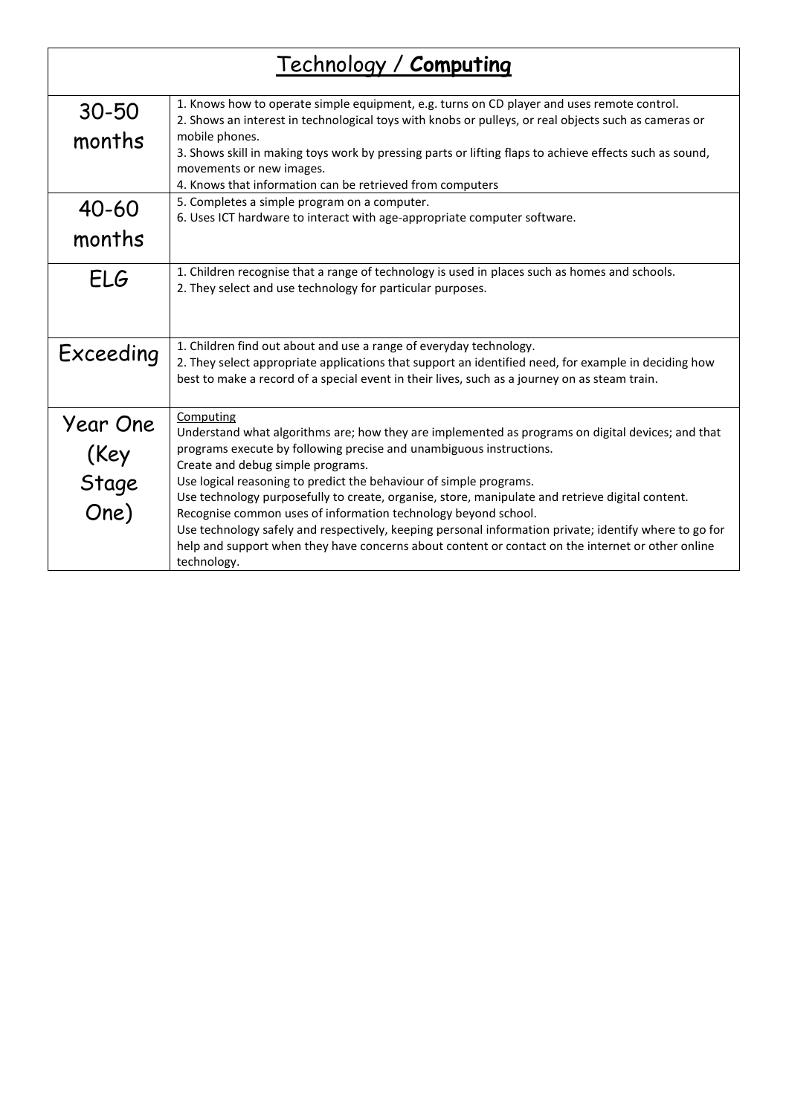| Technology / Computing            |                                                                                                                                                                                                                                                                                                                                                                                                                                                                                                                                                                                                                                                                                                      |  |
|-----------------------------------|------------------------------------------------------------------------------------------------------------------------------------------------------------------------------------------------------------------------------------------------------------------------------------------------------------------------------------------------------------------------------------------------------------------------------------------------------------------------------------------------------------------------------------------------------------------------------------------------------------------------------------------------------------------------------------------------------|--|
| $30 - 50$<br>months               | 1. Knows how to operate simple equipment, e.g. turns on CD player and uses remote control.<br>2. Shows an interest in technological toys with knobs or pulleys, or real objects such as cameras or<br>mobile phones.<br>3. Shows skill in making toys work by pressing parts or lifting flaps to achieve effects such as sound,<br>movements or new images.<br>4. Knows that information can be retrieved from computers                                                                                                                                                                                                                                                                             |  |
| 40-60<br>months                   | 5. Completes a simple program on a computer.<br>6. Uses ICT hardware to interact with age-appropriate computer software.                                                                                                                                                                                                                                                                                                                                                                                                                                                                                                                                                                             |  |
| ELG                               | 1. Children recognise that a range of technology is used in places such as homes and schools.<br>2. They select and use technology for particular purposes.                                                                                                                                                                                                                                                                                                                                                                                                                                                                                                                                          |  |
| Exceeding                         | 1. Children find out about and use a range of everyday technology.<br>2. They select appropriate applications that support an identified need, for example in deciding how<br>best to make a record of a special event in their lives, such as a journey on as steam train.                                                                                                                                                                                                                                                                                                                                                                                                                          |  |
| Year One<br>(Key<br>Stage<br>One) | Computing<br>Understand what algorithms are; how they are implemented as programs on digital devices; and that<br>programs execute by following precise and unambiguous instructions.<br>Create and debug simple programs.<br>Use logical reasoning to predict the behaviour of simple programs.<br>Use technology purposefully to create, organise, store, manipulate and retrieve digital content.<br>Recognise common uses of information technology beyond school.<br>Use technology safely and respectively, keeping personal information private; identify where to go for<br>help and support when they have concerns about content or contact on the internet or other online<br>technology. |  |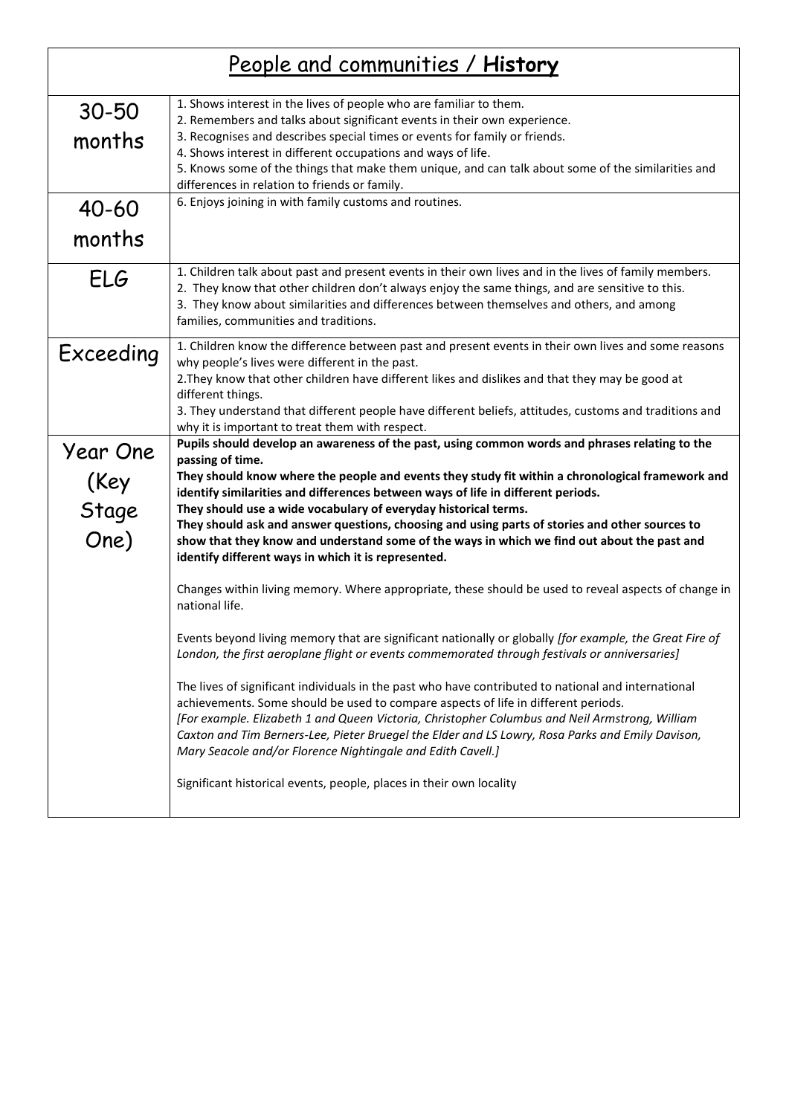## People and communities / **History**

| $30 - 50$ | 1. Shows interest in the lives of people who are familiar to them.                                                                                                                                                                                                                                                                                                                                                                                             |  |  |
|-----------|----------------------------------------------------------------------------------------------------------------------------------------------------------------------------------------------------------------------------------------------------------------------------------------------------------------------------------------------------------------------------------------------------------------------------------------------------------------|--|--|
|           | 2. Remembers and talks about significant events in their own experience.                                                                                                                                                                                                                                                                                                                                                                                       |  |  |
| months    | 3. Recognises and describes special times or events for family or friends.<br>4. Shows interest in different occupations and ways of life.                                                                                                                                                                                                                                                                                                                     |  |  |
|           | 5. Knows some of the things that make them unique, and can talk about some of the similarities and                                                                                                                                                                                                                                                                                                                                                             |  |  |
|           | differences in relation to friends or family.                                                                                                                                                                                                                                                                                                                                                                                                                  |  |  |
| 40-60     | 6. Enjoys joining in with family customs and routines.                                                                                                                                                                                                                                                                                                                                                                                                         |  |  |
|           |                                                                                                                                                                                                                                                                                                                                                                                                                                                                |  |  |
| months    |                                                                                                                                                                                                                                                                                                                                                                                                                                                                |  |  |
| ELG       | 1. Children talk about past and present events in their own lives and in the lives of family members.                                                                                                                                                                                                                                                                                                                                                          |  |  |
|           | 2. They know that other children don't always enjoy the same things, and are sensitive to this.                                                                                                                                                                                                                                                                                                                                                                |  |  |
|           | 3. They know about similarities and differences between themselves and others, and among<br>families, communities and traditions.                                                                                                                                                                                                                                                                                                                              |  |  |
|           |                                                                                                                                                                                                                                                                                                                                                                                                                                                                |  |  |
| Exceeding | 1. Children know the difference between past and present events in their own lives and some reasons<br>why people's lives were different in the past.                                                                                                                                                                                                                                                                                                          |  |  |
|           | 2. They know that other children have different likes and dislikes and that they may be good at                                                                                                                                                                                                                                                                                                                                                                |  |  |
|           | different things.                                                                                                                                                                                                                                                                                                                                                                                                                                              |  |  |
|           | 3. They understand that different people have different beliefs, attitudes, customs and traditions and<br>why it is important to treat them with respect.                                                                                                                                                                                                                                                                                                      |  |  |
|           | Pupils should develop an awareness of the past, using common words and phrases relating to the                                                                                                                                                                                                                                                                                                                                                                 |  |  |
| Year One  | passing of time.                                                                                                                                                                                                                                                                                                                                                                                                                                               |  |  |
| (Key      | They should know where the people and events they study fit within a chronological framework and                                                                                                                                                                                                                                                                                                                                                               |  |  |
| Stage     | identify similarities and differences between ways of life in different periods.<br>They should use a wide vocabulary of everyday historical terms.                                                                                                                                                                                                                                                                                                            |  |  |
|           | They should ask and answer questions, choosing and using parts of stories and other sources to                                                                                                                                                                                                                                                                                                                                                                 |  |  |
| One)      | show that they know and understand some of the ways in which we find out about the past and                                                                                                                                                                                                                                                                                                                                                                    |  |  |
|           | identify different ways in which it is represented.                                                                                                                                                                                                                                                                                                                                                                                                            |  |  |
|           | Changes within living memory. Where appropriate, these should be used to reveal aspects of change in<br>national life.                                                                                                                                                                                                                                                                                                                                         |  |  |
|           | Events beyond living memory that are significant nationally or globally [for example, the Great Fire of<br>London, the first aeroplane flight or events commemorated through festivals or anniversaries]                                                                                                                                                                                                                                                       |  |  |
|           | The lives of significant individuals in the past who have contributed to national and international<br>achievements. Some should be used to compare aspects of life in different periods.<br>[For example. Elizabeth 1 and Queen Victoria, Christopher Columbus and Neil Armstrong, William<br>Caxton and Tim Berners-Lee, Pieter Bruegel the Elder and LS Lowry, Rosa Parks and Emily Davison,<br>Mary Seacole and/or Florence Nightingale and Edith Cavell.] |  |  |
|           | Significant historical events, people, places in their own locality                                                                                                                                                                                                                                                                                                                                                                                            |  |  |
|           |                                                                                                                                                                                                                                                                                                                                                                                                                                                                |  |  |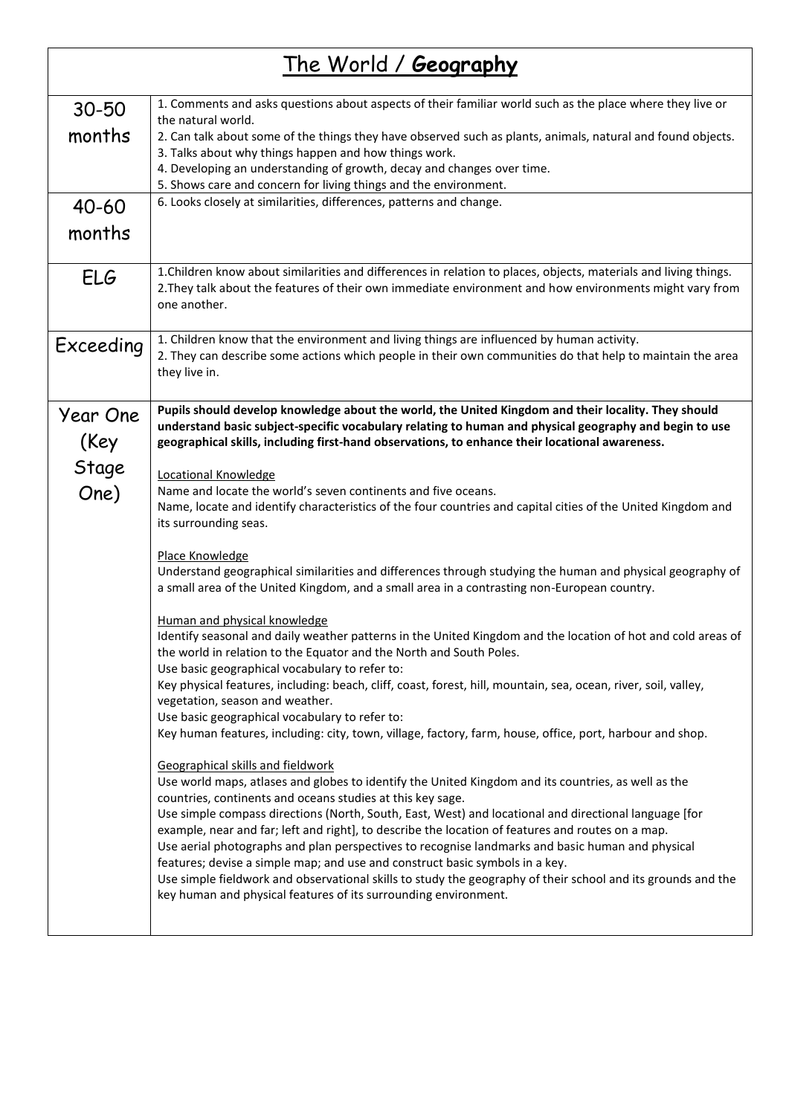## The World / **Geography**

| $30 - 50$       | 1. Comments and asks questions about aspects of their familiar world such as the place where they live or                                                                                             |  |  |
|-----------------|-------------------------------------------------------------------------------------------------------------------------------------------------------------------------------------------------------|--|--|
|                 | the natural world.                                                                                                                                                                                    |  |  |
| months          | 2. Can talk about some of the things they have observed such as plants, animals, natural and found objects.                                                                                           |  |  |
|                 | 3. Talks about why things happen and how things work.                                                                                                                                                 |  |  |
|                 | 4. Developing an understanding of growth, decay and changes over time.                                                                                                                                |  |  |
|                 | 5. Shows care and concern for living things and the environment.<br>6. Looks closely at similarities, differences, patterns and change.                                                               |  |  |
| $40 - 60$       |                                                                                                                                                                                                       |  |  |
| months          |                                                                                                                                                                                                       |  |  |
|                 |                                                                                                                                                                                                       |  |  |
|                 | 1. Children know about similarities and differences in relation to places, objects, materials and living things.                                                                                      |  |  |
| ELG             | 2. They talk about the features of their own immediate environment and how environments might vary from                                                                                               |  |  |
|                 | one another.                                                                                                                                                                                          |  |  |
|                 |                                                                                                                                                                                                       |  |  |
|                 | 1. Children know that the environment and living things are influenced by human activity.                                                                                                             |  |  |
| Exceeding       | 2. They can describe some actions which people in their own communities do that help to maintain the area                                                                                             |  |  |
|                 | they live in.                                                                                                                                                                                         |  |  |
|                 |                                                                                                                                                                                                       |  |  |
| <b>Year One</b> | Pupils should develop knowledge about the world, the United Kingdom and their locality. They should                                                                                                   |  |  |
|                 | understand basic subject-specific vocabulary relating to human and physical geography and begin to use                                                                                                |  |  |
| (Key            | geographical skills, including first-hand observations, to enhance their locational awareness.                                                                                                        |  |  |
| Stage<br>One)   |                                                                                                                                                                                                       |  |  |
|                 | <b>Locational Knowledge</b>                                                                                                                                                                           |  |  |
|                 | Name and locate the world's seven continents and five oceans.<br>Name, locate and identify characteristics of the four countries and capital cities of the United Kingdom and                         |  |  |
|                 | its surrounding seas.                                                                                                                                                                                 |  |  |
|                 |                                                                                                                                                                                                       |  |  |
|                 | Place Knowledge                                                                                                                                                                                       |  |  |
|                 | Understand geographical similarities and differences through studying the human and physical geography of                                                                                             |  |  |
|                 | a small area of the United Kingdom, and a small area in a contrasting non-European country.                                                                                                           |  |  |
|                 |                                                                                                                                                                                                       |  |  |
|                 | Human and physical knowledge                                                                                                                                                                          |  |  |
|                 | Identify seasonal and daily weather patterns in the United Kingdom and the location of hot and cold areas of                                                                                          |  |  |
|                 | the world in relation to the Equator and the North and South Poles.                                                                                                                                   |  |  |
|                 | Use basic geographical vocabulary to refer to:<br>Key physical features, including: beach, cliff, coast, forest, hill, mountain, sea, ocean, river, soil, valley,                                     |  |  |
|                 | vegetation, season and weather.                                                                                                                                                                       |  |  |
|                 | Use basic geographical vocabulary to refer to:                                                                                                                                                        |  |  |
|                 | Key human features, including: city, town, village, factory, farm, house, office, port, harbour and shop.                                                                                             |  |  |
|                 |                                                                                                                                                                                                       |  |  |
|                 | Geographical skills and fieldwork                                                                                                                                                                     |  |  |
|                 | Use world maps, atlases and globes to identify the United Kingdom and its countries, as well as the                                                                                                   |  |  |
|                 | countries, continents and oceans studies at this key sage.                                                                                                                                            |  |  |
|                 | Use simple compass directions (North, South, East, West) and locational and directional language [for                                                                                                 |  |  |
|                 | example, near and far; left and right], to describe the location of features and routes on a map.<br>Use aerial photographs and plan perspectives to recognise landmarks and basic human and physical |  |  |
|                 | features; devise a simple map; and use and construct basic symbols in a key.                                                                                                                          |  |  |
|                 | Use simple fieldwork and observational skills to study the geography of their school and its grounds and the                                                                                          |  |  |
|                 | key human and physical features of its surrounding environment.                                                                                                                                       |  |  |
|                 |                                                                                                                                                                                                       |  |  |
|                 |                                                                                                                                                                                                       |  |  |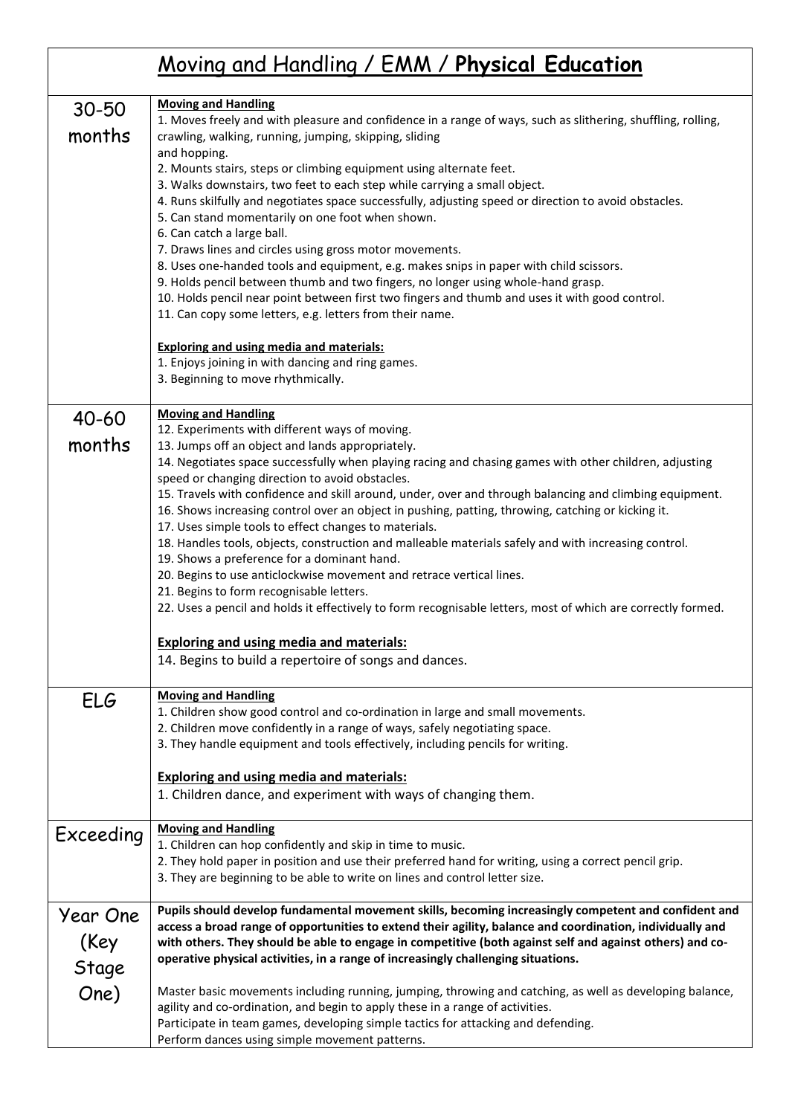## Moving and Handling / EMM / **Physical Education**

| 30-50<br>months | <b>Moving and Handling</b><br>1. Moves freely and with pleasure and confidence in a range of ways, such as slithering, shuffling, rolling,<br>crawling, walking, running, jumping, skipping, sliding<br>and hopping.<br>2. Mounts stairs, steps or climbing equipment using alternate feet.<br>3. Walks downstairs, two feet to each step while carrying a small object.<br>4. Runs skilfully and negotiates space successfully, adjusting speed or direction to avoid obstacles.<br>5. Can stand momentarily on one foot when shown.<br>6. Can catch a large ball.<br>7. Draws lines and circles using gross motor movements.<br>8. Uses one-handed tools and equipment, e.g. makes snips in paper with child scissors.<br>9. Holds pencil between thumb and two fingers, no longer using whole-hand grasp.<br>10. Holds pencil near point between first two fingers and thumb and uses it with good control.<br>11. Can copy some letters, e.g. letters from their name.<br><b>Exploring and using media and materials:</b><br>1. Enjoys joining in with dancing and ring games.<br>3. Beginning to move rhythmically. |  |  |  |
|-----------------|--------------------------------------------------------------------------------------------------------------------------------------------------------------------------------------------------------------------------------------------------------------------------------------------------------------------------------------------------------------------------------------------------------------------------------------------------------------------------------------------------------------------------------------------------------------------------------------------------------------------------------------------------------------------------------------------------------------------------------------------------------------------------------------------------------------------------------------------------------------------------------------------------------------------------------------------------------------------------------------------------------------------------------------------------------------------------------------------------------------------------|--|--|--|
|                 | <b>Moving and Handling</b>                                                                                                                                                                                                                                                                                                                                                                                                                                                                                                                                                                                                                                                                                                                                                                                                                                                                                                                                                                                                                                                                                               |  |  |  |
| 40-60           | 12. Experiments with different ways of moving.                                                                                                                                                                                                                                                                                                                                                                                                                                                                                                                                                                                                                                                                                                                                                                                                                                                                                                                                                                                                                                                                           |  |  |  |
| months          | 13. Jumps off an object and lands appropriately.                                                                                                                                                                                                                                                                                                                                                                                                                                                                                                                                                                                                                                                                                                                                                                                                                                                                                                                                                                                                                                                                         |  |  |  |
|                 | 14. Negotiates space successfully when playing racing and chasing games with other children, adjusting<br>speed or changing direction to avoid obstacles.                                                                                                                                                                                                                                                                                                                                                                                                                                                                                                                                                                                                                                                                                                                                                                                                                                                                                                                                                                |  |  |  |
|                 | 15. Travels with confidence and skill around, under, over and through balancing and climbing equipment.                                                                                                                                                                                                                                                                                                                                                                                                                                                                                                                                                                                                                                                                                                                                                                                                                                                                                                                                                                                                                  |  |  |  |
|                 | 16. Shows increasing control over an object in pushing, patting, throwing, catching or kicking it.                                                                                                                                                                                                                                                                                                                                                                                                                                                                                                                                                                                                                                                                                                                                                                                                                                                                                                                                                                                                                       |  |  |  |
|                 | 17. Uses simple tools to effect changes to materials.                                                                                                                                                                                                                                                                                                                                                                                                                                                                                                                                                                                                                                                                                                                                                                                                                                                                                                                                                                                                                                                                    |  |  |  |
|                 | 18. Handles tools, objects, construction and malleable materials safely and with increasing control.                                                                                                                                                                                                                                                                                                                                                                                                                                                                                                                                                                                                                                                                                                                                                                                                                                                                                                                                                                                                                     |  |  |  |
|                 | 19. Shows a preference for a dominant hand.                                                                                                                                                                                                                                                                                                                                                                                                                                                                                                                                                                                                                                                                                                                                                                                                                                                                                                                                                                                                                                                                              |  |  |  |
|                 | 20. Begins to use anticlockwise movement and retrace vertical lines.                                                                                                                                                                                                                                                                                                                                                                                                                                                                                                                                                                                                                                                                                                                                                                                                                                                                                                                                                                                                                                                     |  |  |  |
|                 | 21. Begins to form recognisable letters.                                                                                                                                                                                                                                                                                                                                                                                                                                                                                                                                                                                                                                                                                                                                                                                                                                                                                                                                                                                                                                                                                 |  |  |  |
|                 | 22. Uses a pencil and holds it effectively to form recognisable letters, most of which are correctly formed.                                                                                                                                                                                                                                                                                                                                                                                                                                                                                                                                                                                                                                                                                                                                                                                                                                                                                                                                                                                                             |  |  |  |
|                 | <b>Exploring and using media and materials:</b>                                                                                                                                                                                                                                                                                                                                                                                                                                                                                                                                                                                                                                                                                                                                                                                                                                                                                                                                                                                                                                                                          |  |  |  |
|                 | 14. Begins to build a repertoire of songs and dances.                                                                                                                                                                                                                                                                                                                                                                                                                                                                                                                                                                                                                                                                                                                                                                                                                                                                                                                                                                                                                                                                    |  |  |  |
|                 |                                                                                                                                                                                                                                                                                                                                                                                                                                                                                                                                                                                                                                                                                                                                                                                                                                                                                                                                                                                                                                                                                                                          |  |  |  |
|                 | <b>Moving and Handling</b>                                                                                                                                                                                                                                                                                                                                                                                                                                                                                                                                                                                                                                                                                                                                                                                                                                                                                                                                                                                                                                                                                               |  |  |  |
| ELG             | 1. Children show good control and co-ordination in large and small movements.                                                                                                                                                                                                                                                                                                                                                                                                                                                                                                                                                                                                                                                                                                                                                                                                                                                                                                                                                                                                                                            |  |  |  |
|                 | 2. Children move confidently in a range of ways, safely negotiating space.                                                                                                                                                                                                                                                                                                                                                                                                                                                                                                                                                                                                                                                                                                                                                                                                                                                                                                                                                                                                                                               |  |  |  |
|                 | 3. They handle equipment and tools effectively, including pencils for writing.                                                                                                                                                                                                                                                                                                                                                                                                                                                                                                                                                                                                                                                                                                                                                                                                                                                                                                                                                                                                                                           |  |  |  |
|                 |                                                                                                                                                                                                                                                                                                                                                                                                                                                                                                                                                                                                                                                                                                                                                                                                                                                                                                                                                                                                                                                                                                                          |  |  |  |
|                 | <b>Exploring and using media and materials:</b>                                                                                                                                                                                                                                                                                                                                                                                                                                                                                                                                                                                                                                                                                                                                                                                                                                                                                                                                                                                                                                                                          |  |  |  |
|                 | 1. Children dance, and experiment with ways of changing them.                                                                                                                                                                                                                                                                                                                                                                                                                                                                                                                                                                                                                                                                                                                                                                                                                                                                                                                                                                                                                                                            |  |  |  |
|                 | <b>Moving and Handling</b>                                                                                                                                                                                                                                                                                                                                                                                                                                                                                                                                                                                                                                                                                                                                                                                                                                                                                                                                                                                                                                                                                               |  |  |  |
| Exceeding       | 1. Children can hop confidently and skip in time to music.                                                                                                                                                                                                                                                                                                                                                                                                                                                                                                                                                                                                                                                                                                                                                                                                                                                                                                                                                                                                                                                               |  |  |  |
|                 | 2. They hold paper in position and use their preferred hand for writing, using a correct pencil grip.                                                                                                                                                                                                                                                                                                                                                                                                                                                                                                                                                                                                                                                                                                                                                                                                                                                                                                                                                                                                                    |  |  |  |
|                 | 3. They are beginning to be able to write on lines and control letter size.                                                                                                                                                                                                                                                                                                                                                                                                                                                                                                                                                                                                                                                                                                                                                                                                                                                                                                                                                                                                                                              |  |  |  |
|                 |                                                                                                                                                                                                                                                                                                                                                                                                                                                                                                                                                                                                                                                                                                                                                                                                                                                                                                                                                                                                                                                                                                                          |  |  |  |
| Year One        | Pupils should develop fundamental movement skills, becoming increasingly competent and confident and                                                                                                                                                                                                                                                                                                                                                                                                                                                                                                                                                                                                                                                                                                                                                                                                                                                                                                                                                                                                                     |  |  |  |
|                 | access a broad range of opportunities to extend their agility, balance and coordination, individually and                                                                                                                                                                                                                                                                                                                                                                                                                                                                                                                                                                                                                                                                                                                                                                                                                                                                                                                                                                                                                |  |  |  |
| (Key            | with others. They should be able to engage in competitive (both against self and against others) and co-                                                                                                                                                                                                                                                                                                                                                                                                                                                                                                                                                                                                                                                                                                                                                                                                                                                                                                                                                                                                                 |  |  |  |
| Stage           | operative physical activities, in a range of increasingly challenging situations.                                                                                                                                                                                                                                                                                                                                                                                                                                                                                                                                                                                                                                                                                                                                                                                                                                                                                                                                                                                                                                        |  |  |  |
| One)            | Master basic movements including running, jumping, throwing and catching, as well as developing balance,                                                                                                                                                                                                                                                                                                                                                                                                                                                                                                                                                                                                                                                                                                                                                                                                                                                                                                                                                                                                                 |  |  |  |
|                 | agility and co-ordination, and begin to apply these in a range of activities.                                                                                                                                                                                                                                                                                                                                                                                                                                                                                                                                                                                                                                                                                                                                                                                                                                                                                                                                                                                                                                            |  |  |  |
|                 | Participate in team games, developing simple tactics for attacking and defending.                                                                                                                                                                                                                                                                                                                                                                                                                                                                                                                                                                                                                                                                                                                                                                                                                                                                                                                                                                                                                                        |  |  |  |
|                 | Perform dances using simple movement patterns.                                                                                                                                                                                                                                                                                                                                                                                                                                                                                                                                                                                                                                                                                                                                                                                                                                                                                                                                                                                                                                                                           |  |  |  |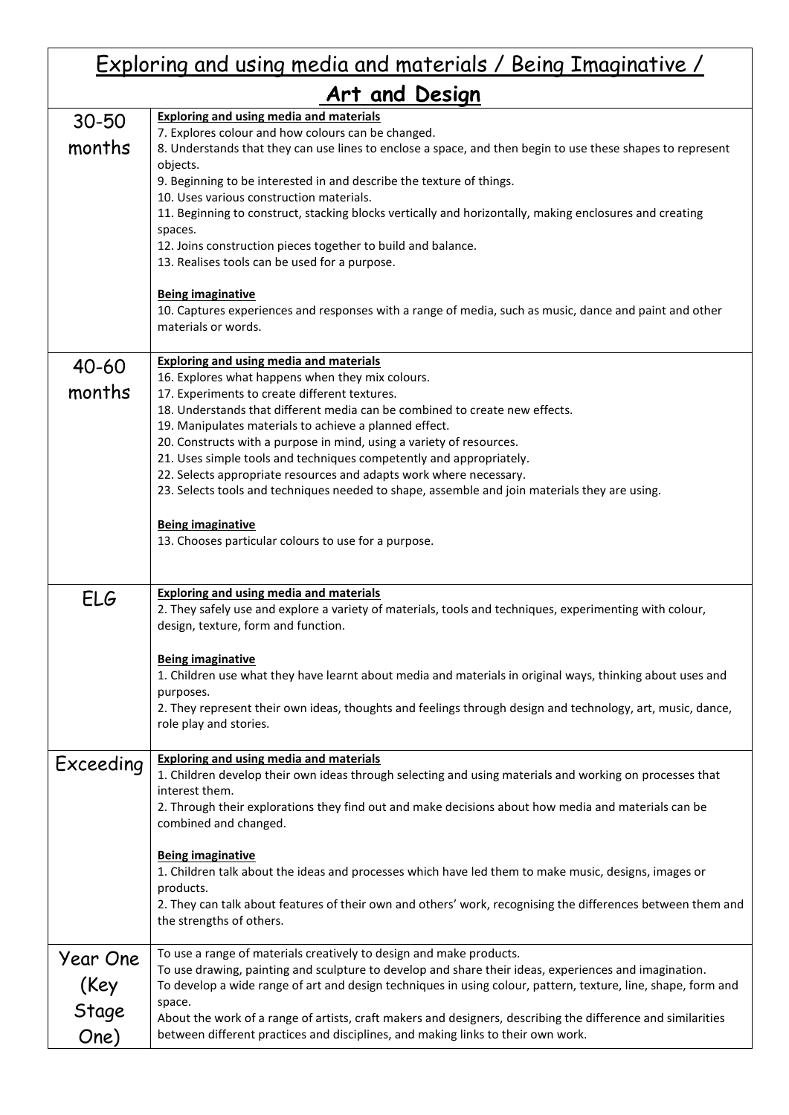| <u>Exploring and using media and materials / Being Imaginative /</u> |                                                                                                                                                                                                                                                                                                                                                                                                                                                                                                                                                                                                                                                                                                                                                        |  |
|----------------------------------------------------------------------|--------------------------------------------------------------------------------------------------------------------------------------------------------------------------------------------------------------------------------------------------------------------------------------------------------------------------------------------------------------------------------------------------------------------------------------------------------------------------------------------------------------------------------------------------------------------------------------------------------------------------------------------------------------------------------------------------------------------------------------------------------|--|
| <u>Art and Design</u>                                                |                                                                                                                                                                                                                                                                                                                                                                                                                                                                                                                                                                                                                                                                                                                                                        |  |
| $30 - 50$<br>months                                                  | <b>Exploring and using media and materials</b><br>7. Explores colour and how colours can be changed.<br>8. Understands that they can use lines to enclose a space, and then begin to use these shapes to represent<br>objects.<br>9. Beginning to be interested in and describe the texture of things.<br>10. Uses various construction materials.<br>11. Beginning to construct, stacking blocks vertically and horizontally, making enclosures and creating<br>spaces.<br>12. Joins construction pieces together to build and balance.<br>13. Realises tools can be used for a purpose.<br><b>Being imaginative</b><br>10. Captures experiences and responses with a range of media, such as music, dance and paint and other<br>materials or words. |  |
| 40-60<br>months                                                      | <b>Exploring and using media and materials</b><br>16. Explores what happens when they mix colours.<br>17. Experiments to create different textures.<br>18. Understands that different media can be combined to create new effects.<br>19. Manipulates materials to achieve a planned effect.<br>20. Constructs with a purpose in mind, using a variety of resources.<br>21. Uses simple tools and techniques competently and appropriately.<br>22. Selects appropriate resources and adapts work where necessary.<br>23. Selects tools and techniques needed to shape, assemble and join materials they are using.<br><b>Being imaginative</b><br>13. Chooses particular colours to use for a purpose.                                                 |  |
| ELG                                                                  | <b>Exploring and using media and materials</b><br>2. They safely use and explore a variety of materials, tools and techniques, experimenting with colour,<br>design, texture, form and function.<br><b>Being imaginative</b><br>1. Children use what they have learnt about media and materials in original ways, thinking about uses and<br>purposes.<br>2. They represent their own ideas, thoughts and feelings through design and technology, art, music, dance,<br>role play and stories.                                                                                                                                                                                                                                                         |  |
| Exceeding                                                            | <b>Exploring and using media and materials</b><br>1. Children develop their own ideas through selecting and using materials and working on processes that<br>interest them.<br>2. Through their explorations they find out and make decisions about how media and materials can be<br>combined and changed.<br><b>Being imaginative</b><br>1. Children talk about the ideas and processes which have led them to make music, designs, images or<br>products.<br>2. They can talk about features of their own and others' work, recognising the differences between them and<br>the strengths of others.                                                                                                                                                |  |
| Year One<br>(Key<br>Stage<br>One)                                    | To use a range of materials creatively to design and make products.<br>To use drawing, painting and sculpture to develop and share their ideas, experiences and imagination.<br>To develop a wide range of art and design techniques in using colour, pattern, texture, line, shape, form and<br>space.<br>About the work of a range of artists, craft makers and designers, describing the difference and similarities<br>between different practices and disciplines, and making links to their own work.                                                                                                                                                                                                                                            |  |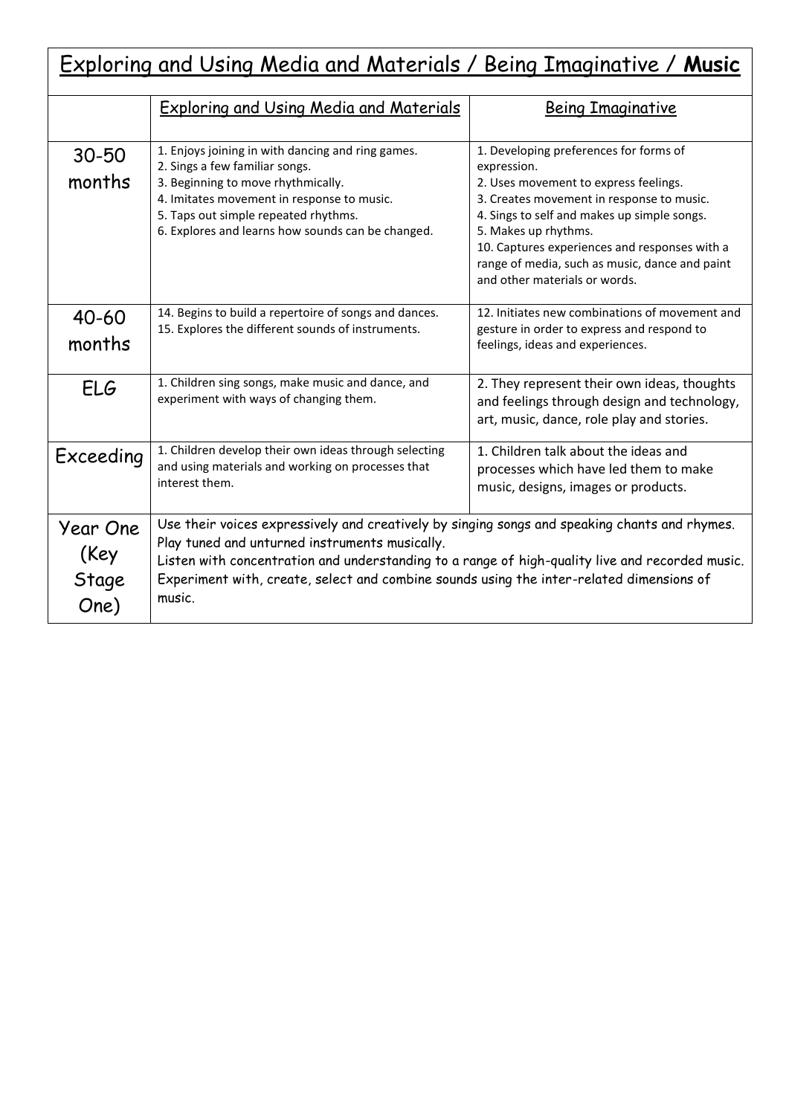| <b>Exploring and Using Media and Materials / Being Imaginative / Music</b> |                                                                                                                                                                                                                                                                                                                                                          |                                                                                                                                                                                                                                                                                                                                                        |
|----------------------------------------------------------------------------|----------------------------------------------------------------------------------------------------------------------------------------------------------------------------------------------------------------------------------------------------------------------------------------------------------------------------------------------------------|--------------------------------------------------------------------------------------------------------------------------------------------------------------------------------------------------------------------------------------------------------------------------------------------------------------------------------------------------------|
|                                                                            | <b>Exploring and Using Media and Materials</b>                                                                                                                                                                                                                                                                                                           | <b>Being Imaginative</b>                                                                                                                                                                                                                                                                                                                               |
| $30 - 50$<br>months                                                        | 1. Enjoys joining in with dancing and ring games.<br>2. Sings a few familiar songs.<br>3. Beginning to move rhythmically.<br>4. Imitates movement in response to music.<br>5. Taps out simple repeated rhythms.<br>6. Explores and learns how sounds can be changed.                                                                                     | 1. Developing preferences for forms of<br>expression.<br>2. Uses movement to express feelings.<br>3. Creates movement in response to music.<br>4. Sings to self and makes up simple songs.<br>5. Makes up rhythms.<br>10. Captures experiences and responses with a<br>range of media, such as music, dance and paint<br>and other materials or words. |
| 40-60<br>months                                                            | 14. Begins to build a repertoire of songs and dances.<br>15. Explores the different sounds of instruments.                                                                                                                                                                                                                                               | 12. Initiates new combinations of movement and<br>gesture in order to express and respond to<br>feelings, ideas and experiences.                                                                                                                                                                                                                       |
| ELG                                                                        | 1. Children sing songs, make music and dance, and<br>experiment with ways of changing them.                                                                                                                                                                                                                                                              | 2. They represent their own ideas, thoughts<br>and feelings through design and technology,<br>art, music, dance, role play and stories.                                                                                                                                                                                                                |
| Exceeding                                                                  | 1. Children develop their own ideas through selecting<br>and using materials and working on processes that<br>interest them.                                                                                                                                                                                                                             | 1. Children talk about the ideas and<br>processes which have led them to make<br>music, designs, images or products.                                                                                                                                                                                                                                   |
| Year One<br>(Key<br>Stage<br>One)                                          | Use their voices expressively and creatively by singing songs and speaking chants and rhymes.<br>Play tuned and unturned instruments musically.<br>Listen with concentration and understanding to a range of high-quality live and recorded music.<br>Experiment with, create, select and combine sounds using the inter-related dimensions of<br>music. |                                                                                                                                                                                                                                                                                                                                                        |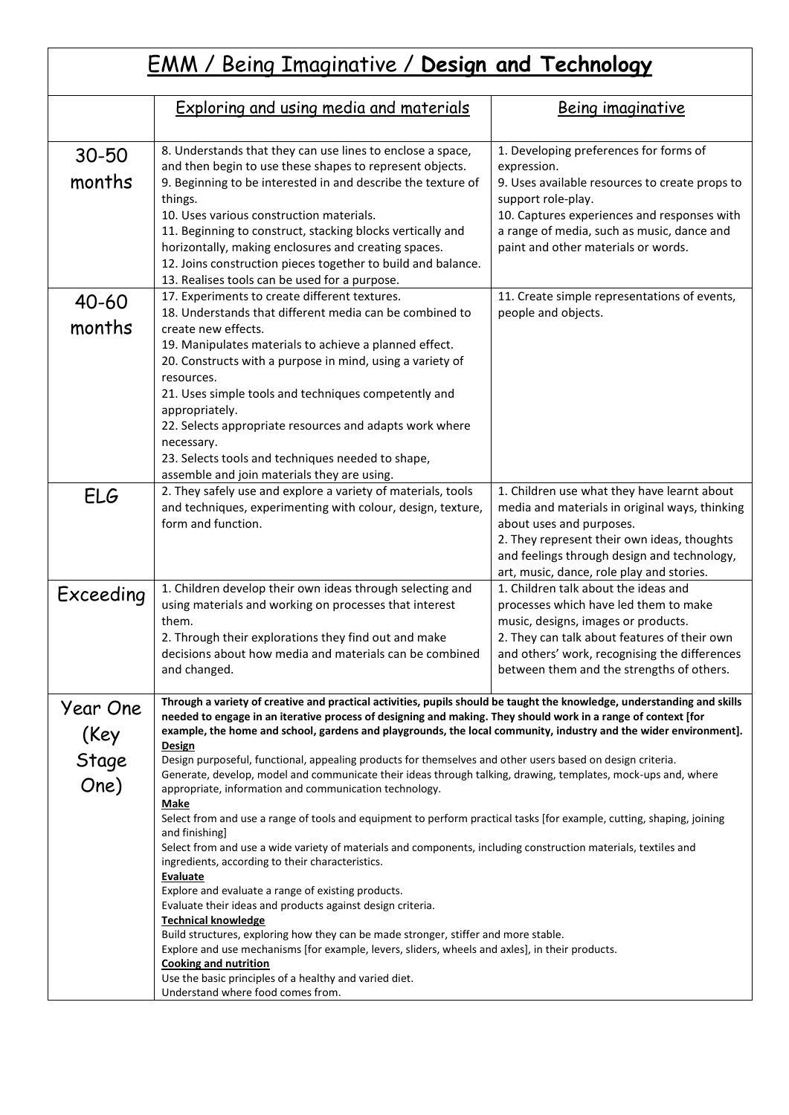| Being Imaginative / Design and Technology<br>EMM / |                                                                                                                                                                                                                                                                                                                                                                                                                                                                                                                                                                                                                                                                                                                                                                                                                                                                                                                                                                                                                                                                                                                                                                                                                                                                                                                                                                                                                                                                                               |                                                                                                                                                                                                                                                                      |
|----------------------------------------------------|-----------------------------------------------------------------------------------------------------------------------------------------------------------------------------------------------------------------------------------------------------------------------------------------------------------------------------------------------------------------------------------------------------------------------------------------------------------------------------------------------------------------------------------------------------------------------------------------------------------------------------------------------------------------------------------------------------------------------------------------------------------------------------------------------------------------------------------------------------------------------------------------------------------------------------------------------------------------------------------------------------------------------------------------------------------------------------------------------------------------------------------------------------------------------------------------------------------------------------------------------------------------------------------------------------------------------------------------------------------------------------------------------------------------------------------------------------------------------------------------------|----------------------------------------------------------------------------------------------------------------------------------------------------------------------------------------------------------------------------------------------------------------------|
|                                                    | <b>Exploring and using media and materials</b>                                                                                                                                                                                                                                                                                                                                                                                                                                                                                                                                                                                                                                                                                                                                                                                                                                                                                                                                                                                                                                                                                                                                                                                                                                                                                                                                                                                                                                                | Being imaginative                                                                                                                                                                                                                                                    |
| $30 - 50$<br>months                                | 8. Understands that they can use lines to enclose a space,<br>and then begin to use these shapes to represent objects.<br>9. Beginning to be interested in and describe the texture of<br>things.<br>10. Uses various construction materials.<br>11. Beginning to construct, stacking blocks vertically and<br>horizontally, making enclosures and creating spaces.<br>12. Joins construction pieces together to build and balance.<br>13. Realises tools can be used for a purpose.                                                                                                                                                                                                                                                                                                                                                                                                                                                                                                                                                                                                                                                                                                                                                                                                                                                                                                                                                                                                          | 1. Developing preferences for forms of<br>expression.<br>9. Uses available resources to create props to<br>support role-play.<br>10. Captures experiences and responses with<br>a range of media, such as music, dance and<br>paint and other materials or words.    |
| 40-60<br>months                                    | 17. Experiments to create different textures.<br>18. Understands that different media can be combined to<br>create new effects.<br>19. Manipulates materials to achieve a planned effect.<br>20. Constructs with a purpose in mind, using a variety of<br>resources.<br>21. Uses simple tools and techniques competently and<br>appropriately.<br>22. Selects appropriate resources and adapts work where<br>necessary.<br>23. Selects tools and techniques needed to shape,<br>assemble and join materials they are using.                                                                                                                                                                                                                                                                                                                                                                                                                                                                                                                                                                                                                                                                                                                                                                                                                                                                                                                                                                   | 11. Create simple representations of events,<br>people and objects.                                                                                                                                                                                                  |
| <b>ELG</b>                                         | 2. They safely use and explore a variety of materials, tools<br>and techniques, experimenting with colour, design, texture,<br>form and function.                                                                                                                                                                                                                                                                                                                                                                                                                                                                                                                                                                                                                                                                                                                                                                                                                                                                                                                                                                                                                                                                                                                                                                                                                                                                                                                                             | 1. Children use what they have learnt about<br>media and materials in original ways, thinking<br>about uses and purposes.<br>2. They represent their own ideas, thoughts<br>and feelings through design and technology,<br>art, music, dance, role play and stories. |
| Exceeding                                          | 1. Children develop their own ideas through selecting and<br>using materials and working on processes that interest<br>them.<br>2. Through their explorations they find out and make<br>decisions about how media and materials can be combined<br>and changed.                                                                                                                                                                                                                                                                                                                                                                                                                                                                                                                                                                                                                                                                                                                                                                                                                                                                                                                                                                                                                                                                                                                                                                                                                               | 1. Children talk about the ideas and<br>processes which have led them to make<br>music, designs, images or products.<br>2. They can talk about features of their own<br>and others' work, recognising the differences<br>between them and the strengths of others.   |
| Year One<br>(Key<br>Stage<br>One)                  | Through a variety of creative and practical activities, pupils should be taught the knowledge, understanding and skills<br>needed to engage in an iterative process of designing and making. They should work in a range of context [for<br>example, the home and school, gardens and playgrounds, the local community, industry and the wider environment].<br>Design<br>Design purposeful, functional, appealing products for themselves and other users based on design criteria.<br>Generate, develop, model and communicate their ideas through talking, drawing, templates, mock-ups and, where<br>appropriate, information and communication technology.<br><b>Make</b><br>Select from and use a range of tools and equipment to perform practical tasks [for example, cutting, shaping, joining<br>and finishing]<br>Select from and use a wide variety of materials and components, including construction materials, textiles and<br>ingredients, according to their characteristics.<br><b>Evaluate</b><br>Explore and evaluate a range of existing products.<br>Evaluate their ideas and products against design criteria.<br><b>Technical knowledge</b><br>Build structures, exploring how they can be made stronger, stiffer and more stable.<br>Explore and use mechanisms [for example, levers, sliders, wheels and axles], in their products.<br><b>Cooking and nutrition</b><br>Use the basic principles of a healthy and varied diet.<br>Understand where food comes from. |                                                                                                                                                                                                                                                                      |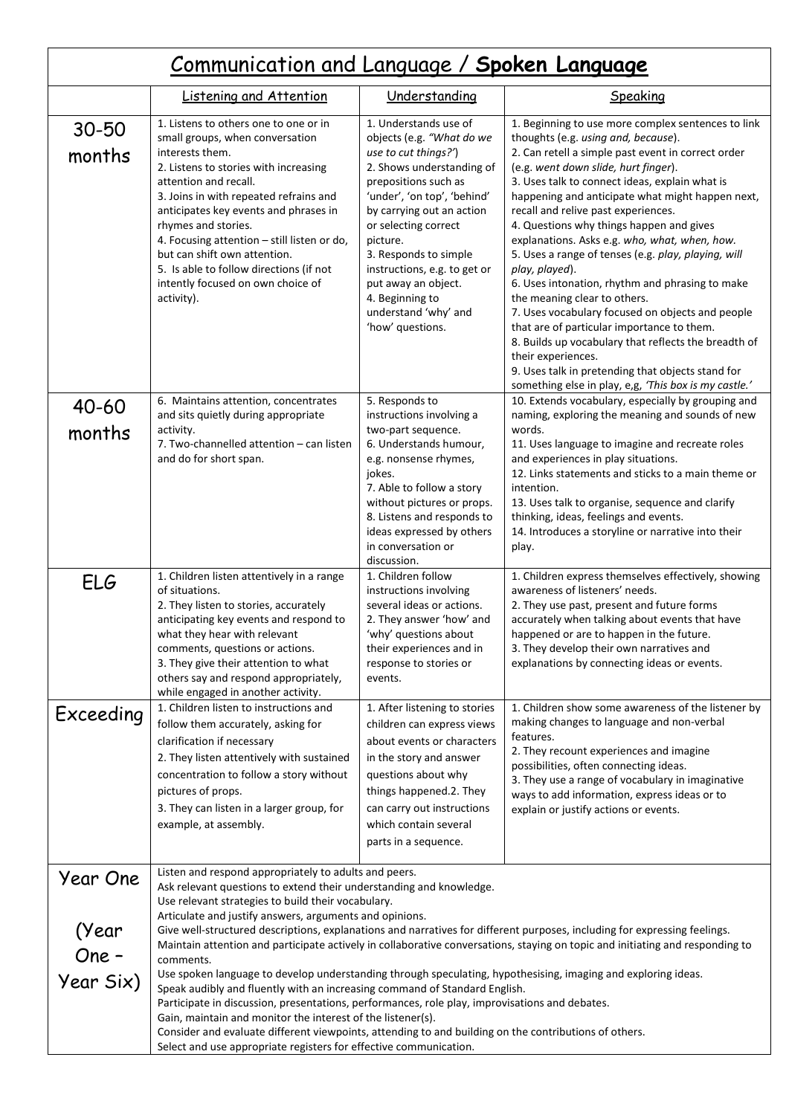| <u>Communication and Language / Spoken Language</u> |                                                                                                                                                                                                                                                                                                                                                                                                                                                                                                                                                                                                                                                                                                                                                                                                                                                                                                                                                                                                                                                                        |                                                                                                                                                                                                                                                                                                                                                                                |                                                                                                                                                                                                                                                                                                                                                                                                                                                                                                                                                                                                                                                                                                                                                                                                                                                                                             |  |
|-----------------------------------------------------|------------------------------------------------------------------------------------------------------------------------------------------------------------------------------------------------------------------------------------------------------------------------------------------------------------------------------------------------------------------------------------------------------------------------------------------------------------------------------------------------------------------------------------------------------------------------------------------------------------------------------------------------------------------------------------------------------------------------------------------------------------------------------------------------------------------------------------------------------------------------------------------------------------------------------------------------------------------------------------------------------------------------------------------------------------------------|--------------------------------------------------------------------------------------------------------------------------------------------------------------------------------------------------------------------------------------------------------------------------------------------------------------------------------------------------------------------------------|---------------------------------------------------------------------------------------------------------------------------------------------------------------------------------------------------------------------------------------------------------------------------------------------------------------------------------------------------------------------------------------------------------------------------------------------------------------------------------------------------------------------------------------------------------------------------------------------------------------------------------------------------------------------------------------------------------------------------------------------------------------------------------------------------------------------------------------------------------------------------------------------|--|
|                                                     | <b>Listening and Attention</b>                                                                                                                                                                                                                                                                                                                                                                                                                                                                                                                                                                                                                                                                                                                                                                                                                                                                                                                                                                                                                                         | Understanding                                                                                                                                                                                                                                                                                                                                                                  | Speaking                                                                                                                                                                                                                                                                                                                                                                                                                                                                                                                                                                                                                                                                                                                                                                                                                                                                                    |  |
| $30 - 50$<br>months                                 | 1. Listens to others one to one or in<br>small groups, when conversation<br>interests them.<br>2. Listens to stories with increasing<br>attention and recall.<br>3. Joins in with repeated refrains and<br>anticipates key events and phrases in<br>rhymes and stories.<br>4. Focusing attention - still listen or do,<br>but can shift own attention.<br>5. Is able to follow directions (if not<br>intently focused on own choice of<br>activity).                                                                                                                                                                                                                                                                                                                                                                                                                                                                                                                                                                                                                   | 1. Understands use of<br>objects (e.g. "What do we<br>use to cut things?')<br>2. Shows understanding of<br>prepositions such as<br>'under', 'on top', 'behind'<br>by carrying out an action<br>or selecting correct<br>picture.<br>3. Responds to simple<br>instructions, e.g. to get or<br>put away an object.<br>4. Beginning to<br>understand 'why' and<br>'how' questions. | 1. Beginning to use more complex sentences to link<br>thoughts (e.g. using and, because).<br>2. Can retell a simple past event in correct order<br>(e.g. went down slide, hurt finger).<br>3. Uses talk to connect ideas, explain what is<br>happening and anticipate what might happen next,<br>recall and relive past experiences.<br>4. Questions why things happen and gives<br>explanations. Asks e.g. who, what, when, how.<br>5. Uses a range of tenses (e.g. play, playing, will<br>play, played).<br>6. Uses intonation, rhythm and phrasing to make<br>the meaning clear to others.<br>7. Uses vocabulary focused on objects and people<br>that are of particular importance to them.<br>8. Builds up vocabulary that reflects the breadth of<br>their experiences.<br>9. Uses talk in pretending that objects stand for<br>something else in play, e,g, 'This box is my castle.' |  |
| 40-60<br>months                                     | 6. Maintains attention, concentrates<br>and sits quietly during appropriate<br>activity.<br>7. Two-channelled attention - can listen<br>and do for short span.                                                                                                                                                                                                                                                                                                                                                                                                                                                                                                                                                                                                                                                                                                                                                                                                                                                                                                         | 5. Responds to<br>instructions involving a<br>two-part sequence.<br>6. Understands humour,<br>e.g. nonsense rhymes,<br>jokes.<br>7. Able to follow a story<br>without pictures or props.<br>8. Listens and responds to<br>ideas expressed by others<br>in conversation or<br>discussion.                                                                                       | 10. Extends vocabulary, especially by grouping and<br>naming, exploring the meaning and sounds of new<br>words.<br>11. Uses language to imagine and recreate roles<br>and experiences in play situations.<br>12. Links statements and sticks to a main theme or<br>intention.<br>13. Uses talk to organise, sequence and clarify<br>thinking, ideas, feelings and events.<br>14. Introduces a storyline or narrative into their<br>play.                                                                                                                                                                                                                                                                                                                                                                                                                                                    |  |
| ELG                                                 | 1. Children listen attentively in a range<br>of situations.<br>2. They listen to stories, accurately<br>anticipating key events and respond to<br>what they hear with relevant<br>comments, questions or actions.<br>3. They give their attention to what<br>others say and respond appropriately,<br>while engaged in another activity.                                                                                                                                                                                                                                                                                                                                                                                                                                                                                                                                                                                                                                                                                                                               | 1. Children follow<br>instructions involving<br>several ideas or actions.<br>2. They answer 'how' and<br>'why' questions about<br>their experiences and in<br>response to stories or<br>events.                                                                                                                                                                                | 1. Children express themselves effectively, showing<br>awareness of listeners' needs.<br>2. They use past, present and future forms<br>accurately when talking about events that have<br>happened or are to happen in the future.<br>3. They develop their own narratives and<br>explanations by connecting ideas or events.                                                                                                                                                                                                                                                                                                                                                                                                                                                                                                                                                                |  |
| Exceeding                                           | 1. Children listen to instructions and<br>follow them accurately, asking for<br>clarification if necessary<br>2. They listen attentively with sustained<br>concentration to follow a story without<br>pictures of props.<br>3. They can listen in a larger group, for<br>example, at assembly.                                                                                                                                                                                                                                                                                                                                                                                                                                                                                                                                                                                                                                                                                                                                                                         | 1. After listening to stories<br>children can express views<br>about events or characters<br>in the story and answer<br>questions about why<br>things happened.2. They<br>can carry out instructions<br>which contain several<br>parts in a sequence.                                                                                                                          | 1. Children show some awareness of the listener by<br>making changes to language and non-verbal<br>features.<br>2. They recount experiences and imagine<br>possibilities, often connecting ideas.<br>3. They use a range of vocabulary in imaginative<br>ways to add information, express ideas or to<br>explain or justify actions or events.                                                                                                                                                                                                                                                                                                                                                                                                                                                                                                                                              |  |
| <b>Year One</b><br>Year)<br>One -<br>Year Six)      | Listen and respond appropriately to adults and peers.<br>Ask relevant questions to extend their understanding and knowledge.<br>Use relevant strategies to build their vocabulary.<br>Articulate and justify answers, arguments and opinions.<br>Give well-structured descriptions, explanations and narratives for different purposes, including for expressing feelings.<br>Maintain attention and participate actively in collaborative conversations, staying on topic and initiating and responding to<br>comments.<br>Use spoken language to develop understanding through speculating, hypothesising, imaging and exploring ideas.<br>Speak audibly and fluently with an increasing command of Standard English.<br>Participate in discussion, presentations, performances, role play, improvisations and debates.<br>Gain, maintain and monitor the interest of the listener(s).<br>Consider and evaluate different viewpoints, attending to and building on the contributions of others.<br>Select and use appropriate registers for effective communication. |                                                                                                                                                                                                                                                                                                                                                                                |                                                                                                                                                                                                                                                                                                                                                                                                                                                                                                                                                                                                                                                                                                                                                                                                                                                                                             |  |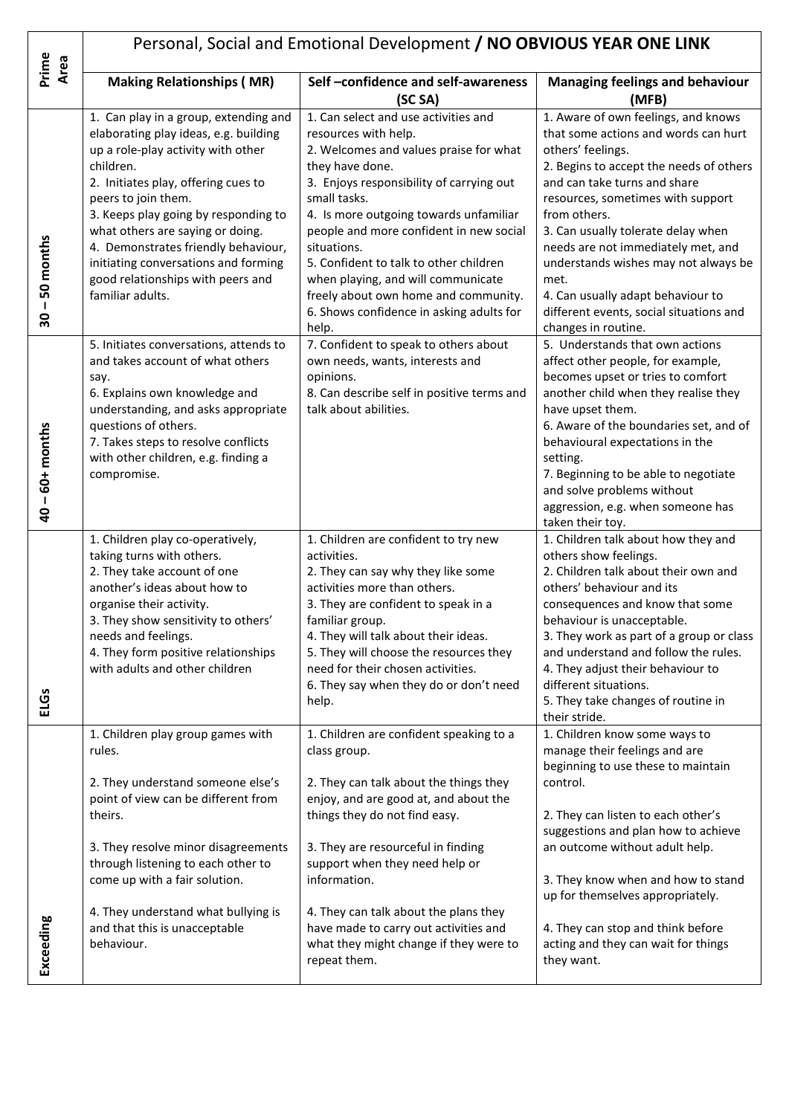|                                 | Personal, Social and Emotional Development / NO OBVIOUS YEAR ONE LINK                                                                                                                                                                                                                                                                                                                                               |                                                                                                                                                                                                                                                                                                                                                                                                                                                                        |                                                                                                                                                                                                                                                                                                                                                                                                                                                                     |  |
|---------------------------------|---------------------------------------------------------------------------------------------------------------------------------------------------------------------------------------------------------------------------------------------------------------------------------------------------------------------------------------------------------------------------------------------------------------------|------------------------------------------------------------------------------------------------------------------------------------------------------------------------------------------------------------------------------------------------------------------------------------------------------------------------------------------------------------------------------------------------------------------------------------------------------------------------|---------------------------------------------------------------------------------------------------------------------------------------------------------------------------------------------------------------------------------------------------------------------------------------------------------------------------------------------------------------------------------------------------------------------------------------------------------------------|--|
| Prime<br>Area                   | <b>Making Relationships (MR)</b>                                                                                                                                                                                                                                                                                                                                                                                    | Self-confidence and self-awareness<br>(SC SA)                                                                                                                                                                                                                                                                                                                                                                                                                          | <b>Managing feelings and behaviour</b><br>(MFB)                                                                                                                                                                                                                                                                                                                                                                                                                     |  |
| -50 months<br>30                | 1. Can play in a group, extending and<br>elaborating play ideas, e.g. building<br>up a role-play activity with other<br>children.<br>2. Initiates play, offering cues to<br>peers to join them.<br>3. Keeps play going by responding to<br>what others are saying or doing.<br>4. Demonstrates friendly behaviour,<br>initiating conversations and forming<br>good relationships with peers and<br>familiar adults. | 1. Can select and use activities and<br>resources with help.<br>2. Welcomes and values praise for what<br>they have done.<br>3. Enjoys responsibility of carrying out<br>small tasks.<br>4. Is more outgoing towards unfamiliar<br>people and more confident in new social<br>situations.<br>5. Confident to talk to other children<br>when playing, and will communicate<br>freely about own home and community.<br>6. Shows confidence in asking adults for<br>help. | 1. Aware of own feelings, and knows<br>that some actions and words can hurt<br>others' feelings.<br>2. Begins to accept the needs of others<br>and can take turns and share<br>resources, sometimes with support<br>from others.<br>3. Can usually tolerate delay when<br>needs are not immediately met, and<br>understands wishes may not always be<br>met.<br>4. Can usually adapt behaviour to<br>different events, social situations and<br>changes in routine. |  |
| $-60+$ months<br>$\overline{a}$ | 5. Initiates conversations, attends to<br>and takes account of what others<br>say.<br>6. Explains own knowledge and<br>understanding, and asks appropriate<br>questions of others.<br>7. Takes steps to resolve conflicts<br>with other children, e.g. finding a<br>compromise.                                                                                                                                     | 7. Confident to speak to others about<br>own needs, wants, interests and<br>opinions.<br>8. Can describe self in positive terms and<br>talk about abilities.                                                                                                                                                                                                                                                                                                           | 5. Understands that own actions<br>affect other people, for example,<br>becomes upset or tries to comfort<br>another child when they realise they<br>have upset them.<br>6. Aware of the boundaries set, and of<br>behavioural expectations in the<br>setting.<br>7. Beginning to be able to negotiate<br>and solve problems without<br>aggression, e.g. when someone has<br>taken their toy.                                                                       |  |
| ELGS                            | 1. Children play co-operatively,<br>taking turns with others.<br>2. They take account of one<br>another's ideas about how to<br>organise their activity.<br>3. They show sensitivity to others'<br>needs and feelings.<br>4. They form positive relationships<br>with adults and other children                                                                                                                     | 1. Children are confident to try new<br>activities.<br>2. They can say why they like some<br>activities more than others.<br>3. They are confident to speak in a<br>familiar group.<br>4. They will talk about their ideas.<br>5. They will choose the resources they<br>need for their chosen activities.<br>6. They say when they do or don't need<br>help.                                                                                                          | 1. Children talk about how they and<br>others show feelings.<br>2. Children talk about their own and<br>others' behaviour and its<br>consequences and know that some<br>behaviour is unacceptable.<br>3. They work as part of a group or class<br>and understand and follow the rules.<br>4. They adjust their behaviour to<br>different situations.<br>5. They take changes of routine in<br>their stride.                                                         |  |
| Exceeding                       | 1. Children play group games with<br>rules.<br>2. They understand someone else's<br>point of view can be different from<br>theirs.<br>3. They resolve minor disagreements<br>through listening to each other to<br>come up with a fair solution.<br>4. They understand what bullying is<br>and that this is unacceptable<br>behaviour.                                                                              | 1. Children are confident speaking to a<br>class group.<br>2. They can talk about the things they<br>enjoy, and are good at, and about the<br>things they do not find easy.<br>3. They are resourceful in finding<br>support when they need help or<br>information.<br>4. They can talk about the plans they<br>have made to carry out activities and<br>what they might change if they were to<br>repeat them.                                                        | 1. Children know some ways to<br>manage their feelings and are<br>beginning to use these to maintain<br>control.<br>2. They can listen to each other's<br>suggestions and plan how to achieve<br>an outcome without adult help.<br>3. They know when and how to stand<br>up for themselves appropriately.<br>4. They can stop and think before<br>acting and they can wait for things<br>they want.                                                                 |  |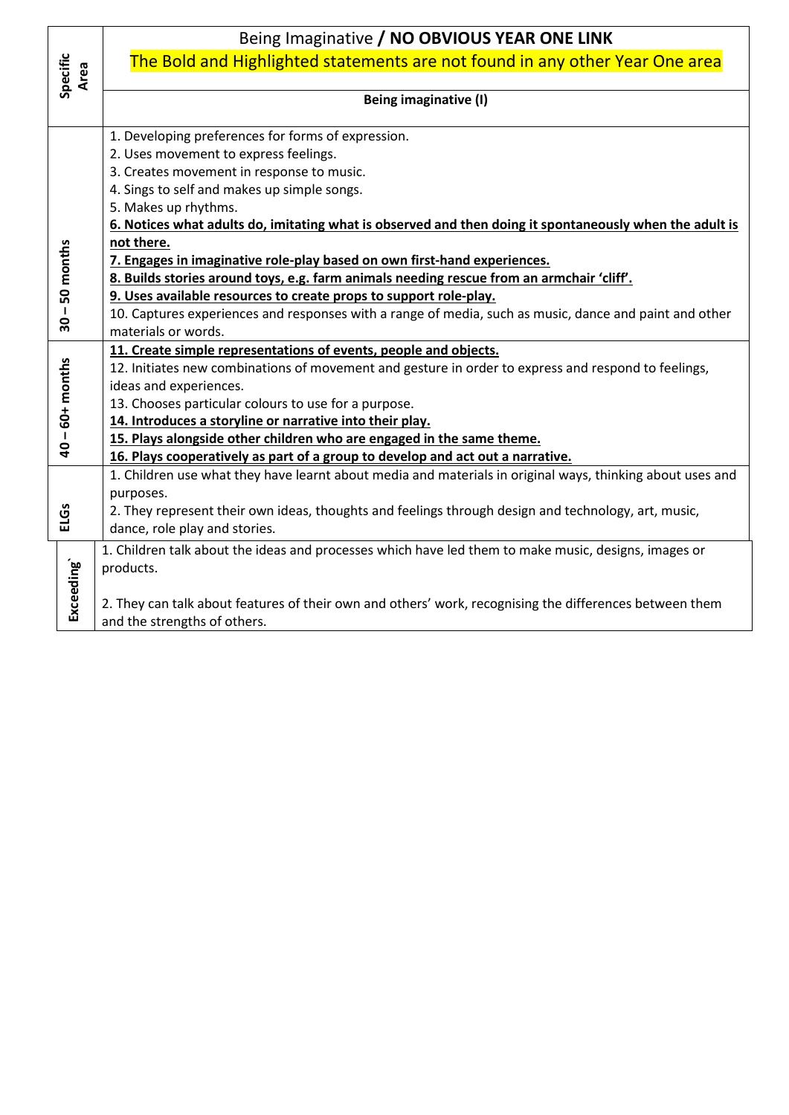|                    | Being Imaginative / NO OBVIOUS YEAR ONE LINK                                                              |
|--------------------|-----------------------------------------------------------------------------------------------------------|
|                    | The Bold and Highlighted statements are not found in any other Year One area                              |
| Specific<br>Area   |                                                                                                           |
|                    | <b>Being imaginative (I)</b>                                                                              |
|                    |                                                                                                           |
|                    | 1. Developing preferences for forms of expression.                                                        |
|                    | 2. Uses movement to express feelings.<br>3. Creates movement in response to music.                        |
|                    |                                                                                                           |
|                    | 4. Sings to self and makes up simple songs.<br>5. Makes up rhythms.                                       |
|                    | 6. Notices what adults do, imitating what is observed and then doing it spontaneously when the adult is   |
|                    | not there.                                                                                                |
|                    | 7. Engages in imaginative role-play based on own first-hand experiences.                                  |
| 50 months          | 8. Builds stories around toys, e.g. farm animals needing rescue from an armchair 'cliff'.                 |
|                    | 9. Uses available resources to create props to support role-play.                                         |
| $\mathbf{I}$       | 10. Captures experiences and responses with a range of media, such as music, dance and paint and other    |
| $\overline{30}$    | materials or words.                                                                                       |
|                    | 11. Create simple representations of events, people and objects.                                          |
|                    | 12. Initiates new combinations of movement and gesture in order to express and respond to feelings,       |
|                    | ideas and experiences.                                                                                    |
|                    | 13. Chooses particular colours to use for a purpose.                                                      |
|                    | 14. Introduces a storyline or narrative into their play.                                                  |
| $40 - 60 +$ months | 15. Plays alongside other children who are engaged in the same theme.                                     |
|                    | 16. Plays cooperatively as part of a group to develop and act out a narrative.                            |
|                    | 1. Children use what they have learnt about media and materials in original ways, thinking about uses and |
|                    | purposes.                                                                                                 |
| ELGS               | 2. They represent their own ideas, thoughts and feelings through design and technology, art, music,       |
|                    | dance, role play and stories.                                                                             |
|                    | 1. Children talk about the ideas and processes which have led them to make music, designs, images or      |
|                    | products.                                                                                                 |
|                    |                                                                                                           |
| Exceeding          | 2. They can talk about features of their own and others' work, recognising the differences between them   |
|                    | and the strengths of others.                                                                              |